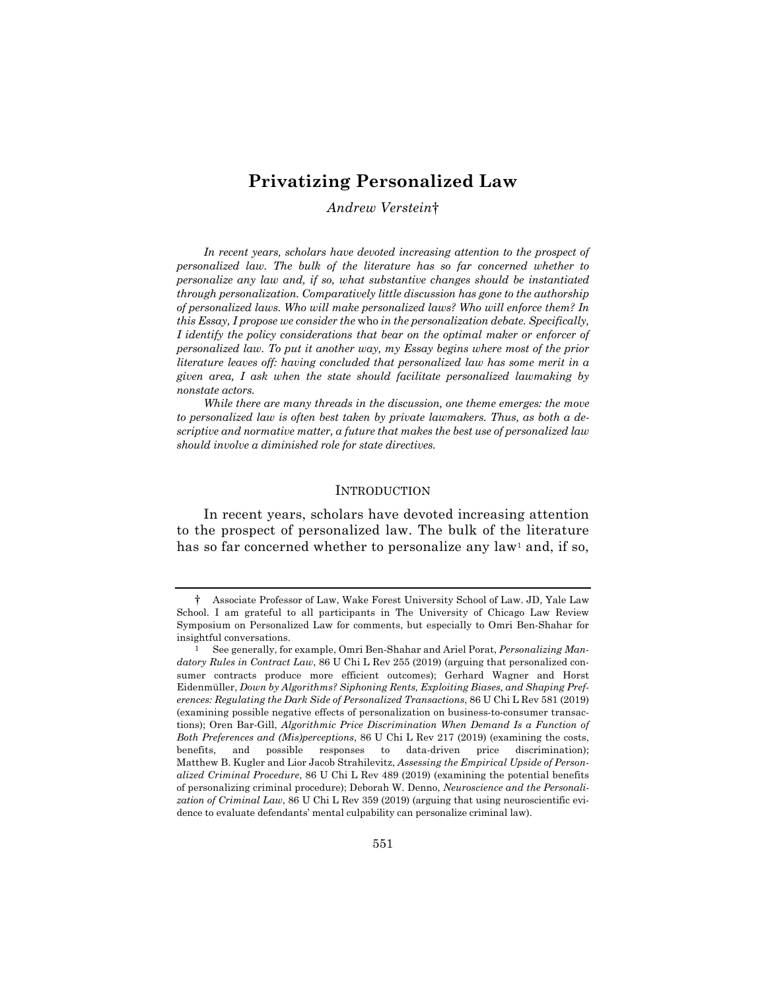# **Privatizing Personalized Law**

*Andrew Verstein*†

In recent years, scholars have devoted increasing attention to the prospect of *personalized law. The bulk of the literature has so far concerned whether to personalize any law and, if so, what substantive changes should be instantiated through personalization. Comparatively little discussion has gone to the authorship of personalized laws. Who will make personalized laws? Who will enforce them? In this Essay, I propose we consider the* who *in the personalization debate. Specifically, I identify the policy considerations that bear on the optimal maker or enforcer of personalized law. To put it another way, my Essay begins where most of the prior literature leaves off: having concluded that personalized law has some merit in a given area, I ask when the state should facilitate personalized lawmaking by nonstate actors.*

*While there are many threads in the discussion, one theme emerges: the move to personalized law is often best taken by private lawmakers. Thus, as both a descriptive and normative matter, a future that makes the best use of personalized law should involve a diminished role for state directives.*

# **INTRODUCTION**

In recent years, scholars have devoted increasing attention to the prospect of personalized law. The bulk of the literature has so far concerned whether to personalize any law<sup>1</sup> and, if so,

<sup>†</sup> Associate Professor of Law, Wake Forest University School of Law. JD, Yale Law School. I am grateful to all participants in The University of Chicago Law Review Symposium on Personalized Law for comments, but especially to Omri Ben-Shahar for insightful conversations.

<sup>1</sup> See generally, for example, Omri Ben-Shahar and Ariel Porat, *Personalizing Mandatory Rules in Contract Law*, 86 U Chi L Rev 255 (2019) (arguing that personalized consumer contracts produce more efficient outcomes); Gerhard Wagner and Horst Eidenmüller, *Down by Algorithms? Siphoning Rents, Exploiting Biases, and Shaping Preferences: Regulating the Dark Side of Personalized Transactions*, 86 U Chi L Rev 581 (2019) (examining possible negative effects of personalization on business-to-consumer transactions); Oren Bar-Gill, *Algorithmic Price Discrimination When Demand Is a Function of Both Preferences and (Mis)perceptions*, 86 U Chi L Rev 217 (2019) (examining the costs, benefits, and possible responses to data-driven price discrimination); Matthew B. Kugler and Lior Jacob Strahilevitz, *Assessing the Empirical Upside of Personalized Criminal Procedure*, 86 U Chi L Rev 489 (2019) (examining the potential benefits of personalizing criminal procedure); Deborah W. Denno, *Neuroscience and the Personalization of Criminal Law*, 86 U Chi L Rev 359 (2019) (arguing that using neuroscientific evidence to evaluate defendants' mental culpability can personalize criminal law).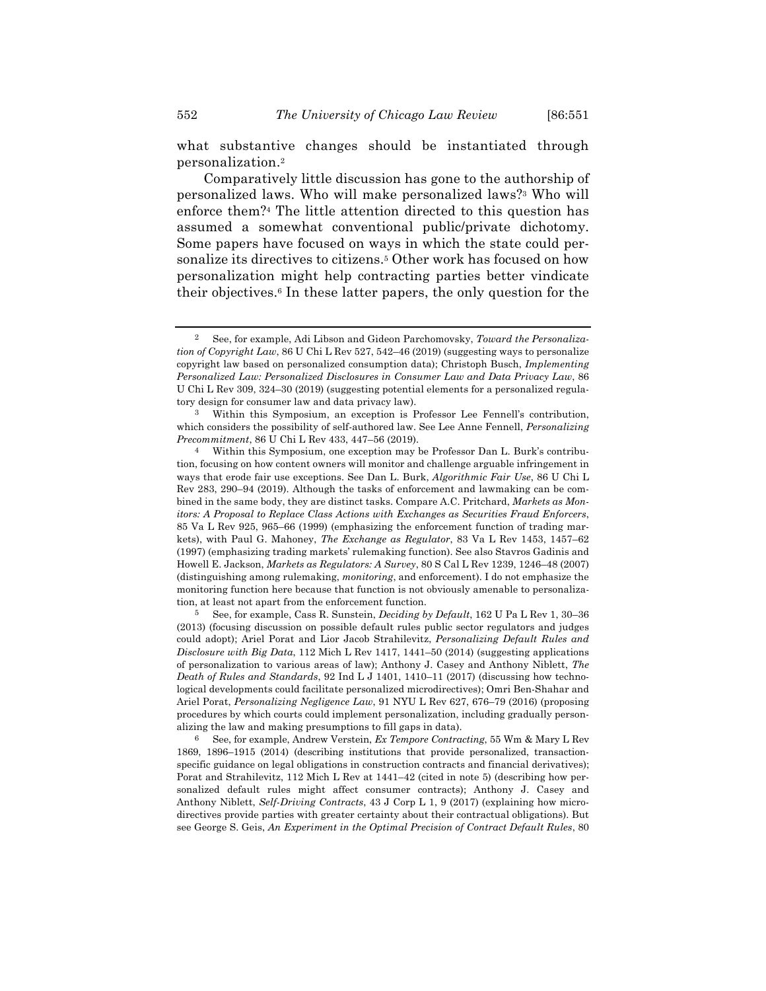what substantive changes should be instantiated through personalization.2

Comparatively little discussion has gone to the authorship of personalized laws. Who will make personalized laws?3 Who will enforce them?4 The little attention directed to this question has assumed a somewhat conventional public/private dichotomy. Some papers have focused on ways in which the state could personalize its directives to citizens.5 Other work has focused on how personalization might help contracting parties better vindicate their objectives.6 In these latter papers, the only question for the

5 See, for example, Cass R. Sunstein, *Deciding by Default*, 162 U Pa L Rev 1, 30–36 (2013) (focusing discussion on possible default rules public sector regulators and judges could adopt); Ariel Porat and Lior Jacob Strahilevitz, *Personalizing Default Rules and Disclosure with Big Data*, 112 Mich L Rev 1417, 1441–50 (2014) (suggesting applications of personalization to various areas of law); Anthony J. Casey and Anthony Niblett, *The Death of Rules and Standards*, 92 Ind L J 1401, 1410–11 (2017) (discussing how technological developments could facilitate personalized microdirectives); Omri Ben-Shahar and Ariel Porat, *Personalizing Negligence Law*, 91 NYU L Rev 627, 676–79 (2016) (proposing procedures by which courts could implement personalization, including gradually personalizing the law and making presumptions to fill gaps in data).

6 See, for example, Andrew Verstein, *Ex Tempore Contracting*, 55 Wm & Mary L Rev 1869, 1896–1915 (2014) (describing institutions that provide personalized, transactionspecific guidance on legal obligations in construction contracts and financial derivatives); Porat and Strahilevitz, 112 Mich L Rev at 1441–42 (cited in note 5) (describing how personalized default rules might affect consumer contracts); Anthony J. Casey and Anthony Niblett, *Self-Driving Contracts*, 43 J Corp L 1, 9 (2017) (explaining how microdirectives provide parties with greater certainty about their contractual obligations). But see George S. Geis, *An Experiment in the Optimal Precision of Contract Default Rules*, 80

<sup>2</sup> See, for example, Adi Libson and Gideon Parchomovsky, *Toward the Personalization of Copyright Law*, 86 U Chi L Rev 527, 542–46 (2019) (suggesting ways to personalize copyright law based on personalized consumption data); Christoph Busch, *Implementing Personalized Law: Personalized Disclosures in Consumer Law and Data Privacy Law*, 86 U Chi L Rev 309, 324–30 (2019) (suggesting potential elements for a personalized regulatory design for consumer law and data privacy law).

<sup>3</sup> Within this Symposium, an exception is Professor Lee Fennell's contribution, which considers the possibility of self-authored law. See Lee Anne Fennell, *Personalizing Precommitment*, 86 U Chi L Rev 433, 447–56 (2019).

<sup>4</sup> Within this Symposium, one exception may be Professor Dan L. Burk's contribution, focusing on how content owners will monitor and challenge arguable infringement in ways that erode fair use exceptions. See Dan L. Burk, *Algorithmic Fair Use*, 86 U Chi L Rev 283, 290–94 (2019). Although the tasks of enforcement and lawmaking can be combined in the same body, they are distinct tasks. Compare A.C. Pritchard, *Markets as Monitors: A Proposal to Replace Class Actions with Exchanges as Securities Fraud Enforcers*, 85 Va L Rev 925, 965–66 (1999) (emphasizing the enforcement function of trading markets), with Paul G. Mahoney, *The Exchange as Regulator*, 83 Va L Rev 1453, 1457–62 (1997) (emphasizing trading markets' rulemaking function). See also Stavros Gadinis and Howell E. Jackson, *Markets as Regulators: A Survey*, 80 S Cal L Rev 1239, 1246–48 (2007) (distinguishing among rulemaking, *monitoring*, and enforcement). I do not emphasize the monitoring function here because that function is not obviously amenable to personalization, at least not apart from the enforcement function.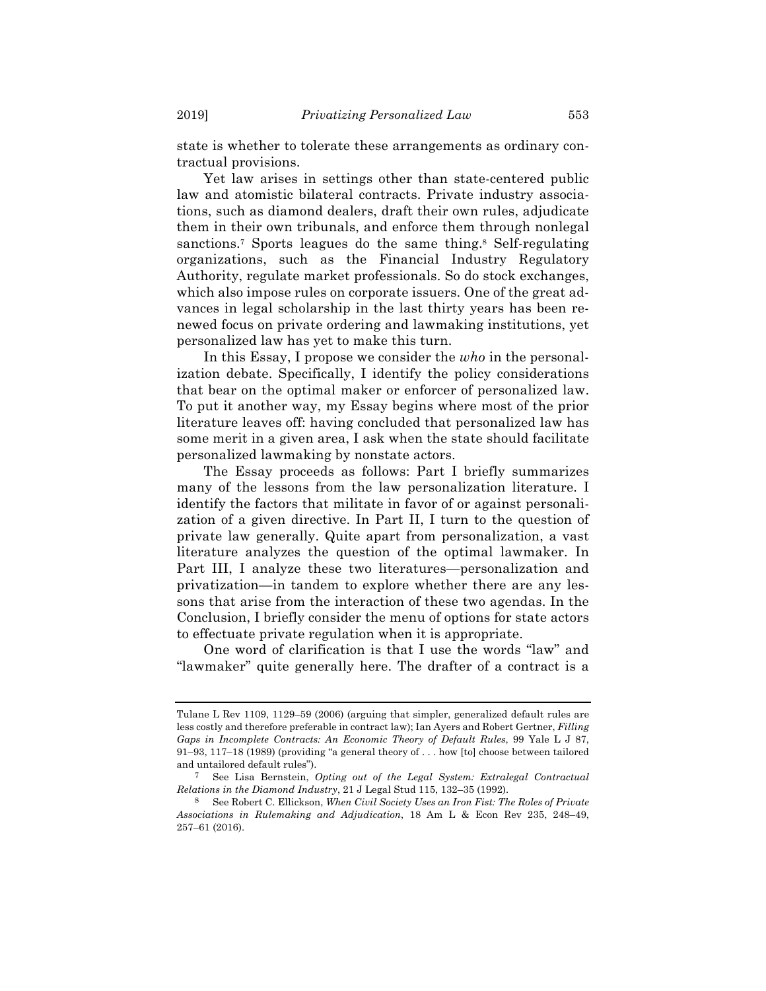state is whether to tolerate these arrangements as ordinary contractual provisions.

Yet law arises in settings other than state-centered public law and atomistic bilateral contracts. Private industry associations, such as diamond dealers, draft their own rules, adjudicate them in their own tribunals, and enforce them through nonlegal sanctions.<sup>7</sup> Sports leagues do the same thing.<sup>8</sup> Self-regulating organizations, such as the Financial Industry Regulatory Authority, regulate market professionals. So do stock exchanges, which also impose rules on corporate issuers. One of the great advances in legal scholarship in the last thirty years has been renewed focus on private ordering and lawmaking institutions, yet personalized law has yet to make this turn.

In this Essay, I propose we consider the *who* in the personalization debate. Specifically, I identify the policy considerations that bear on the optimal maker or enforcer of personalized law. To put it another way, my Essay begins where most of the prior literature leaves off: having concluded that personalized law has some merit in a given area, I ask when the state should facilitate personalized lawmaking by nonstate actors.

The Essay proceeds as follows: Part I briefly summarizes many of the lessons from the law personalization literature. I identify the factors that militate in favor of or against personalization of a given directive. In Part II, I turn to the question of private law generally. Quite apart from personalization, a vast literature analyzes the question of the optimal lawmaker. In Part III, I analyze these two literatures—personalization and privatization—in tandem to explore whether there are any lessons that arise from the interaction of these two agendas. In the Conclusion, I briefly consider the menu of options for state actors to effectuate private regulation when it is appropriate.

One word of clarification is that I use the words "law" and "lawmaker" quite generally here. The drafter of a contract is a

Tulane L Rev 1109, 1129–59 (2006) (arguing that simpler, generalized default rules are less costly and therefore preferable in contract law); Ian Ayers and Robert Gertner, *Filling Gaps in Incomplete Contracts: An Economic Theory of Default Rules*, 99 Yale L J 87, 91–93, 117–18 (1989) (providing "a general theory of . . . how [to] choose between tailored and untailored default rules").

<sup>7</sup> See Lisa Bernstein, *Opting out of the Legal System: Extralegal Contractual Relations in the Diamond Industry*, 21 J Legal Stud 115, 132–35 (1992).

<sup>8</sup> See Robert C. Ellickson, *When Civil Society Uses an Iron Fist: The Roles of Private Associations in Rulemaking and Adjudication*, 18 Am L & Econ Rev 235, 248–49, 257–61 (2016).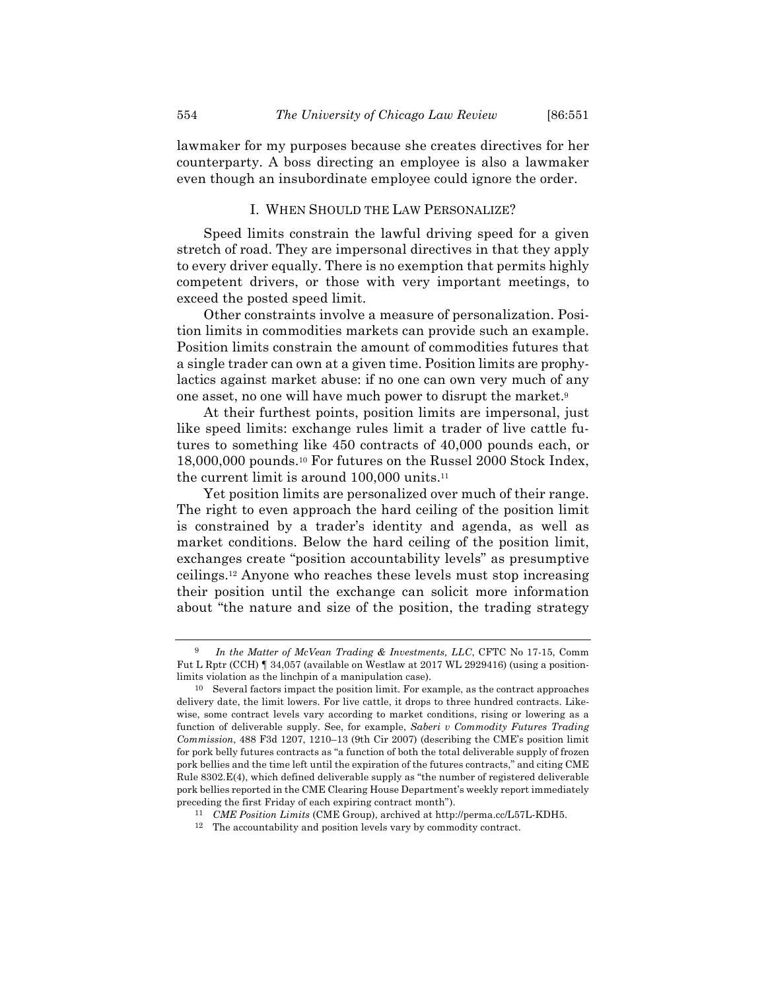lawmaker for my purposes because she creates directives for her counterparty. A boss directing an employee is also a lawmaker even though an insubordinate employee could ignore the order.

# I. WHEN SHOULD THE LAW PERSONALIZE?

Speed limits constrain the lawful driving speed for a given stretch of road. They are impersonal directives in that they apply to every driver equally. There is no exemption that permits highly competent drivers, or those with very important meetings, to exceed the posted speed limit.

Other constraints involve a measure of personalization. Position limits in commodities markets can provide such an example. Position limits constrain the amount of commodities futures that a single trader can own at a given time. Position limits are prophylactics against market abuse: if no one can own very much of any one asset, no one will have much power to disrupt the market.9

At their furthest points, position limits are impersonal, just like speed limits: exchange rules limit a trader of live cattle futures to something like 450 contracts of 40,000 pounds each, or 18,000,000 pounds.10 For futures on the Russel 2000 Stock Index, the current limit is around 100,000 units.11

Yet position limits are personalized over much of their range. The right to even approach the hard ceiling of the position limit is constrained by a trader's identity and agenda, as well as market conditions. Below the hard ceiling of the position limit, exchanges create "position accountability levels" as presumptive ceilings.12 Anyone who reaches these levels must stop increasing their position until the exchange can solicit more information about "the nature and size of the position, the trading strategy

<sup>9</sup> *In the Matter of McVean Trading & Investments, LLC*, CFTC No 17-15, Comm Fut L Rptr (CCH) ¶ 34,057 (available on Westlaw at 2017 WL 2929416) (using a positionlimits violation as the linchpin of a manipulation case).

<sup>10</sup> Several factors impact the position limit. For example, as the contract approaches delivery date, the limit lowers. For live cattle, it drops to three hundred contracts. Likewise, some contract levels vary according to market conditions, rising or lowering as a function of deliverable supply. See, for example, *Saberi v Commodity Futures Trading Commission*, 488 F3d 1207, 1210–13 (9th Cir 2007) (describing the CME's position limit for pork belly futures contracts as "a function of both the total deliverable supply of frozen pork bellies and the time left until the expiration of the futures contracts," and citing CME Rule 8302.E(4), which defined deliverable supply as "the number of registered deliverable pork bellies reported in the CME Clearing House Department's weekly report immediately preceding the first Friday of each expiring contract month").

<sup>11</sup> *CME Position Limits* (CME Group), archived at http://perma.cc/L57L-KDH5.

<sup>12</sup> The accountability and position levels vary by commodity contract.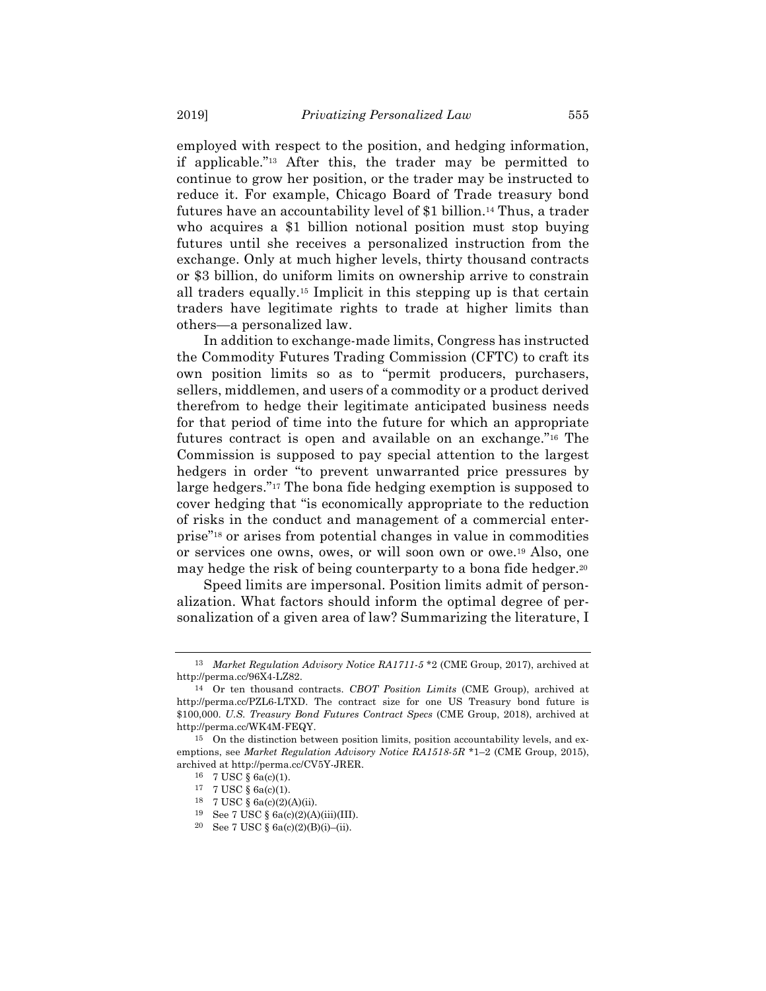employed with respect to the position, and hedging information, if applicable."13 After this, the trader may be permitted to continue to grow her position, or the trader may be instructed to reduce it. For example, Chicago Board of Trade treasury bond futures have an accountability level of \$1 billion.14 Thus, a trader who acquires a \$1 billion notional position must stop buying futures until she receives a personalized instruction from the exchange. Only at much higher levels, thirty thousand contracts or \$3 billion, do uniform limits on ownership arrive to constrain all traders equally.15 Implicit in this stepping up is that certain traders have legitimate rights to trade at higher limits than others—a personalized law.

In addition to exchange-made limits, Congress has instructed the Commodity Futures Trading Commission (CFTC) to craft its own position limits so as to "permit producers, purchasers, sellers, middlemen, and users of a commodity or a product derived therefrom to hedge their legitimate anticipated business needs for that period of time into the future for which an appropriate futures contract is open and available on an exchange."16 The Commission is supposed to pay special attention to the largest hedgers in order "to prevent unwarranted price pressures by large hedgers."17 The bona fide hedging exemption is supposed to cover hedging that "is economically appropriate to the reduction of risks in the conduct and management of a commercial enterprise"18 or arises from potential changes in value in commodities or services one owns, owes, or will soon own or owe.19 Also, one may hedge the risk of being counterparty to a bona fide hedger.20

Speed limits are impersonal. Position limits admit of personalization. What factors should inform the optimal degree of personalization of a given area of law? Summarizing the literature, I

<sup>13</sup> *Market Regulation Advisory Notice RA1711-5* \*2 (CME Group, 2017), archived at http://perma.cc/96X4-LZ82.

<sup>14</sup> Or ten thousand contracts. *CBOT Position Limits* (CME Group), archived at http://perma.cc/PZL6-LTXD. The contract size for one US Treasury bond future is \$100,000. *U.S. Treasury Bond Futures Contract Specs* (CME Group, 2018), archived at http://perma.cc/WK4M-FEQY.

<sup>15</sup> On the distinction between position limits, position accountability levels, and exemptions, see *Market Regulation Advisory Notice RA1518-5R* \*1–2 (CME Group, 2015), archived at http://perma.cc/CV5Y-JRER.

<sup>16</sup> 7 USC § 6a(c)(1).

 $17 \quad 7 \text{ USC } \S \text{ 6a(c)(1)}.$ 

<sup>18 7</sup> USC  $\S$  6a(c)(2)(A)(ii).

<sup>19</sup> See 7 USC § 6a(c)(2)(A)(iii)(III).

<sup>20</sup> See 7 USC § 6a(c)(2)(B)(i)–(ii).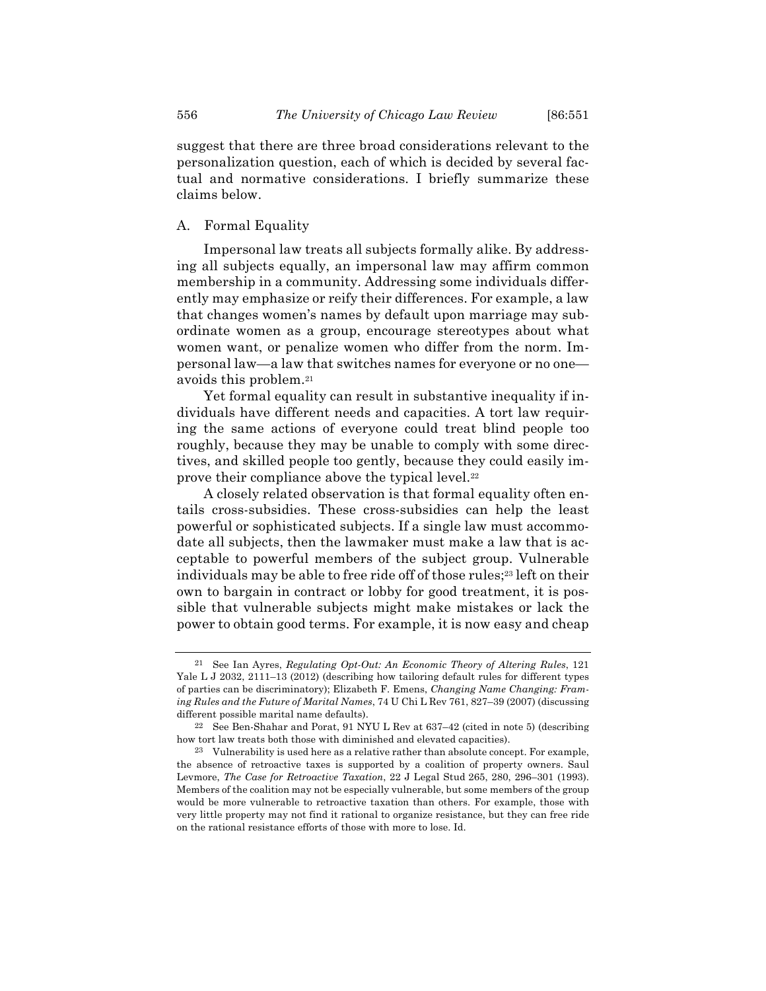suggest that there are three broad considerations relevant to the personalization question, each of which is decided by several factual and normative considerations. I briefly summarize these claims below.

# A. Formal Equality

Impersonal law treats all subjects formally alike. By addressing all subjects equally, an impersonal law may affirm common membership in a community. Addressing some individuals differently may emphasize or reify their differences. For example, a law that changes women's names by default upon marriage may subordinate women as a group, encourage stereotypes about what women want, or penalize women who differ from the norm. Impersonal law—a law that switches names for everyone or no one avoids this problem.21

Yet formal equality can result in substantive inequality if individuals have different needs and capacities. A tort law requiring the same actions of everyone could treat blind people too roughly, because they may be unable to comply with some directives, and skilled people too gently, because they could easily improve their compliance above the typical level.<sup>22</sup>

A closely related observation is that formal equality often entails cross-subsidies. These cross-subsidies can help the least powerful or sophisticated subjects. If a single law must accommodate all subjects, then the lawmaker must make a law that is acceptable to powerful members of the subject group. Vulnerable individuals may be able to free ride off of those rules;<sup>23</sup> left on their own to bargain in contract or lobby for good treatment, it is possible that vulnerable subjects might make mistakes or lack the power to obtain good terms. For example, it is now easy and cheap

<sup>21</sup> See Ian Ayres, *Regulating Opt-Out: An Economic Theory of Altering Rules*, 121 Yale L J 2032, 2111–13 (2012) (describing how tailoring default rules for different types of parties can be discriminatory); Elizabeth F. Emens, *Changing Name Changing: Framing Rules and the Future of Marital Names*, 74 U Chi L Rev 761, 827–39 (2007) (discussing different possible marital name defaults).

<sup>22</sup> See Ben-Shahar and Porat, 91 NYU L Rev at 637–42 (cited in note 5) (describing how tort law treats both those with diminished and elevated capacities).

<sup>23</sup> Vulnerability is used here as a relative rather than absolute concept. For example, the absence of retroactive taxes is supported by a coalition of property owners. Saul Levmore, *The Case for Retroactive Taxation*, 22 J Legal Stud 265, 280, 296–301 (1993). Members of the coalition may not be especially vulnerable, but some members of the group would be more vulnerable to retroactive taxation than others. For example, those with very little property may not find it rational to organize resistance, but they can free ride on the rational resistance efforts of those with more to lose. Id.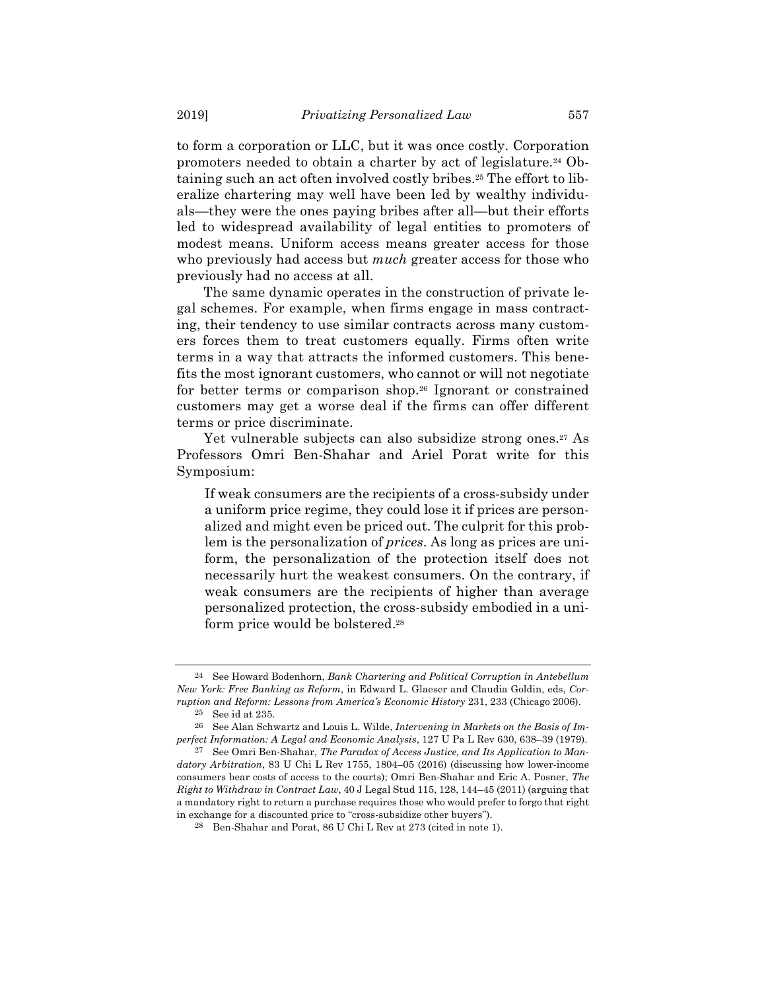to form a corporation or LLC, but it was once costly. Corporation promoters needed to obtain a charter by act of legislature.24 Obtaining such an act often involved costly bribes.25 The effort to liberalize chartering may well have been led by wealthy individuals—they were the ones paying bribes after all—but their efforts led to widespread availability of legal entities to promoters of modest means. Uniform access means greater access for those who previously had access but *much* greater access for those who previously had no access at all.

The same dynamic operates in the construction of private legal schemes. For example, when firms engage in mass contracting, their tendency to use similar contracts across many customers forces them to treat customers equally. Firms often write terms in a way that attracts the informed customers. This benefits the most ignorant customers, who cannot or will not negotiate for better terms or comparison shop.<sup>26</sup> Ignorant or constrained customers may get a worse deal if the firms can offer different terms or price discriminate.

Yet vulnerable subjects can also subsidize strong ones.<sup>27</sup> As Professors Omri Ben-Shahar and Ariel Porat write for this Symposium:

If weak consumers are the recipients of a cross-subsidy under a uniform price regime, they could lose it if prices are personalized and might even be priced out. The culprit for this problem is the personalization of *prices*. As long as prices are uniform, the personalization of the protection itself does not necessarily hurt the weakest consumers. On the contrary, if weak consumers are the recipients of higher than average personalized protection, the cross-subsidy embodied in a uniform price would be bolstered.28

<sup>24</sup> See Howard Bodenhorn, *Bank Chartering and Political Corruption in Antebellum New York: Free Banking as Reform*, in Edward L. Glaeser and Claudia Goldin, eds, *Corruption and Reform: Lessons from America's Economic History* 231, 233 (Chicago 2006).

<sup>25</sup> See id at 235.

<sup>26</sup> See Alan Schwartz and Louis L. Wilde, *Intervening in Markets on the Basis of Imperfect Information: A Legal and Economic Analysis*, 127 U Pa L Rev 630, 638–39 (1979).

<sup>27</sup> See Omri Ben-Shahar, *The Paradox of Access Justice, and Its Application to Mandatory Arbitration*, 83 U Chi L Rev 1755, 1804–05 (2016) (discussing how lower-income consumers bear costs of access to the courts); Omri Ben-Shahar and Eric A. Posner, *The Right to Withdraw in Contract Law*, 40 J Legal Stud 115, 128, 144–45 (2011) (arguing that a mandatory right to return a purchase requires those who would prefer to forgo that right in exchange for a discounted price to "cross-subsidize other buyers").

<sup>28</sup> Ben-Shahar and Porat, 86 U Chi L Rev at 273 (cited in note 1).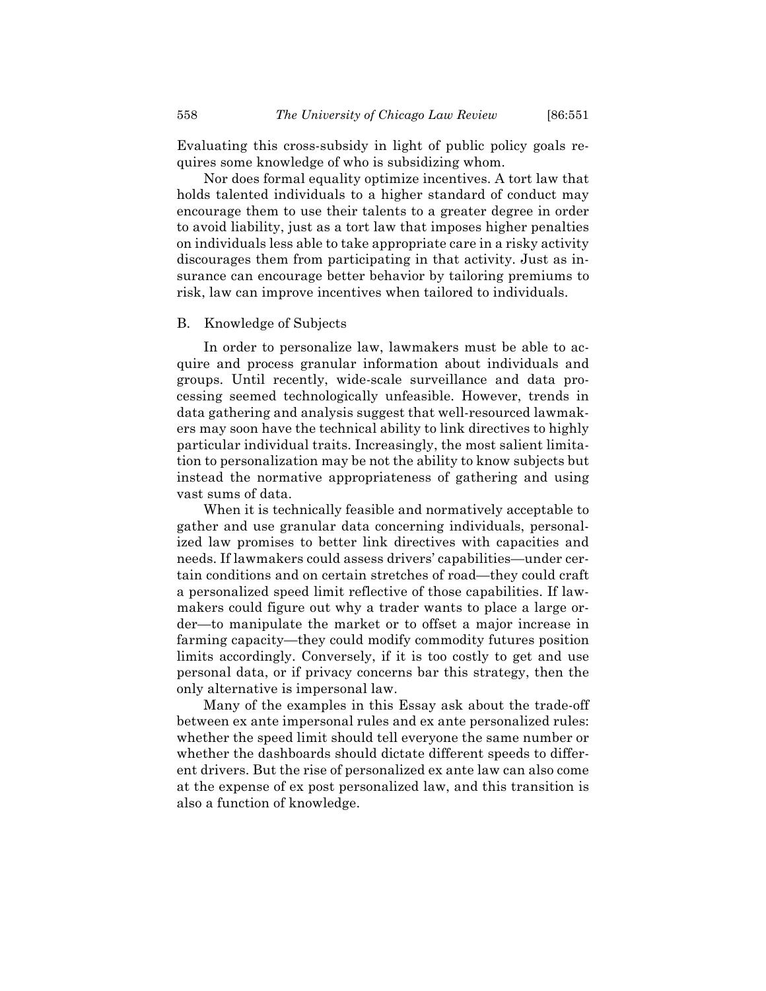Evaluating this cross-subsidy in light of public policy goals requires some knowledge of who is subsidizing whom.

Nor does formal equality optimize incentives. A tort law that holds talented individuals to a higher standard of conduct may encourage them to use their talents to a greater degree in order to avoid liability, just as a tort law that imposes higher penalties on individuals less able to take appropriate care in a risky activity discourages them from participating in that activity. Just as insurance can encourage better behavior by tailoring premiums to risk, law can improve incentives when tailored to individuals.

# B. Knowledge of Subjects

In order to personalize law, lawmakers must be able to acquire and process granular information about individuals and groups. Until recently, wide-scale surveillance and data processing seemed technologically unfeasible. However, trends in data gathering and analysis suggest that well-resourced lawmakers may soon have the technical ability to link directives to highly particular individual traits. Increasingly, the most salient limitation to personalization may be not the ability to know subjects but instead the normative appropriateness of gathering and using vast sums of data.

When it is technically feasible and normatively acceptable to gather and use granular data concerning individuals, personalized law promises to better link directives with capacities and needs. If lawmakers could assess drivers' capabilities—under certain conditions and on certain stretches of road—they could craft a personalized speed limit reflective of those capabilities. If lawmakers could figure out why a trader wants to place a large order—to manipulate the market or to offset a major increase in farming capacity—they could modify commodity futures position limits accordingly. Conversely, if it is too costly to get and use personal data, or if privacy concerns bar this strategy, then the only alternative is impersonal law.

Many of the examples in this Essay ask about the trade-off between ex ante impersonal rules and ex ante personalized rules: whether the speed limit should tell everyone the same number or whether the dashboards should dictate different speeds to different drivers. But the rise of personalized ex ante law can also come at the expense of ex post personalized law, and this transition is also a function of knowledge.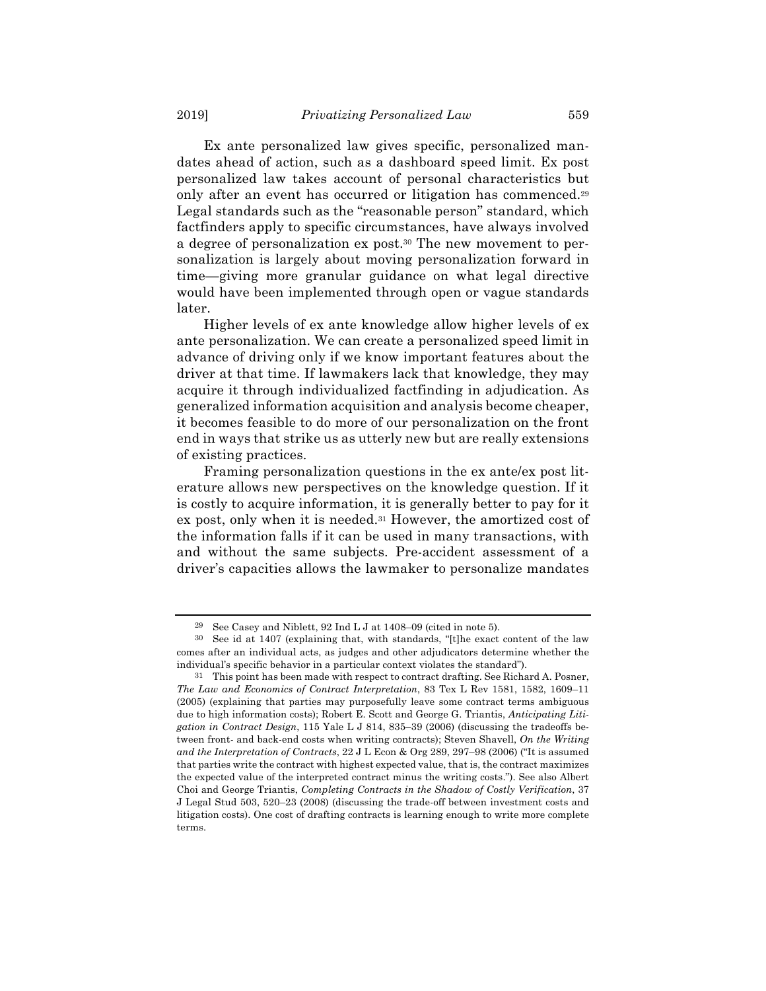Ex ante personalized law gives specific, personalized mandates ahead of action, such as a dashboard speed limit. Ex post personalized law takes account of personal characteristics but only after an event has occurred or litigation has commenced.29 Legal standards such as the "reasonable person" standard, which factfinders apply to specific circumstances, have always involved a degree of personalization ex post.30 The new movement to personalization is largely about moving personalization forward in time—giving more granular guidance on what legal directive would have been implemented through open or vague standards later.

Higher levels of ex ante knowledge allow higher levels of ex ante personalization. We can create a personalized speed limit in advance of driving only if we know important features about the driver at that time. If lawmakers lack that knowledge, they may acquire it through individualized factfinding in adjudication. As generalized information acquisition and analysis become cheaper, it becomes feasible to do more of our personalization on the front end in ways that strike us as utterly new but are really extensions of existing practices.

Framing personalization questions in the ex ante/ex post literature allows new perspectives on the knowledge question. If it is costly to acquire information, it is generally better to pay for it ex post, only when it is needed.31 However, the amortized cost of the information falls if it can be used in many transactions, with and without the same subjects. Pre-accident assessment of a driver's capacities allows the lawmaker to personalize mandates

<sup>29</sup> See Casey and Niblett, 92 Ind L J at 1408–09 (cited in note 5).

<sup>30</sup> See id at 1407 (explaining that, with standards, "[t]he exact content of the law comes after an individual acts, as judges and other adjudicators determine whether the individual's specific behavior in a particular context violates the standard").

<sup>31</sup> This point has been made with respect to contract drafting. See Richard A. Posner, *The Law and Economics of Contract Interpretation*, 83 Tex L Rev 1581, 1582, 1609–11 (2005) (explaining that parties may purposefully leave some contract terms ambiguous due to high information costs); Robert E. Scott and George G. Triantis, *Anticipating Litigation in Contract Design*, 115 Yale L J 814, 835–39 (2006) (discussing the tradeoffs between front- and back-end costs when writing contracts); Steven Shavell, *On the Writing and the Interpretation of Contracts*, 22 J L Econ & Org 289, 297–98 (2006) ("It is assumed that parties write the contract with highest expected value, that is, the contract maximizes the expected value of the interpreted contract minus the writing costs."). See also Albert Choi and George Triantis, *Completing Contracts in the Shadow of Costly Verification*, 37 J Legal Stud 503, 520–23 (2008) (discussing the trade-off between investment costs and litigation costs). One cost of drafting contracts is learning enough to write more complete terms.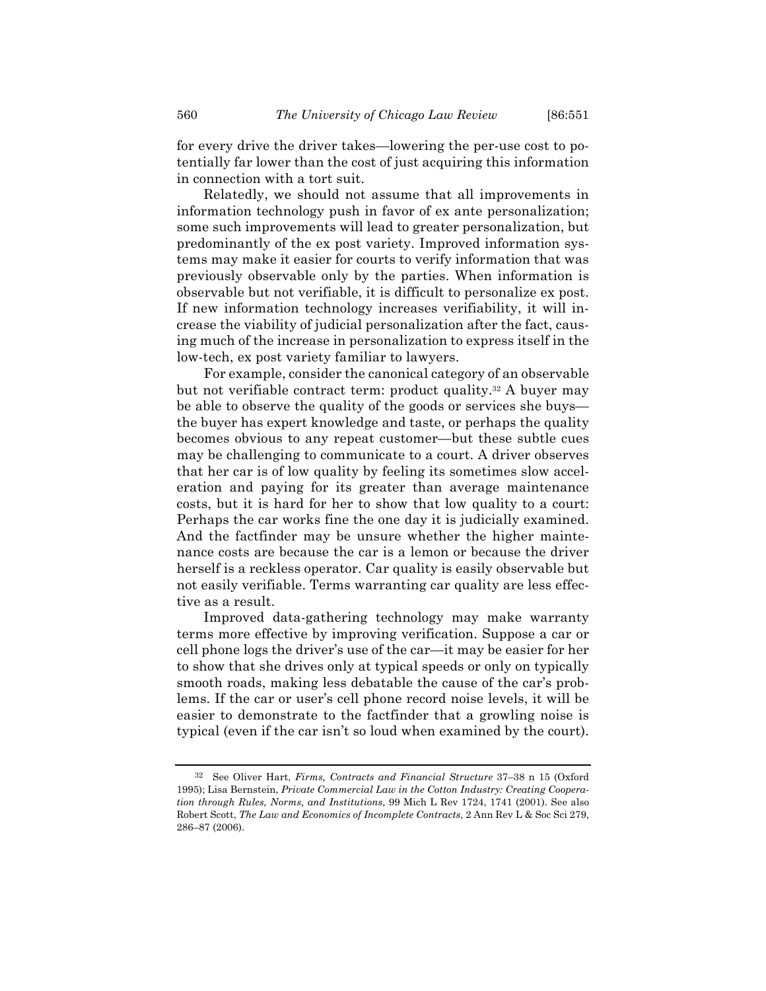for every drive the driver takes—lowering the per-use cost to potentially far lower than the cost of just acquiring this information in connection with a tort suit.

Relatedly, we should not assume that all improvements in information technology push in favor of ex ante personalization; some such improvements will lead to greater personalization, but predominantly of the ex post variety. Improved information systems may make it easier for courts to verify information that was previously observable only by the parties. When information is observable but not verifiable, it is difficult to personalize ex post. If new information technology increases verifiability, it will increase the viability of judicial personalization after the fact, causing much of the increase in personalization to express itself in the low-tech, ex post variety familiar to lawyers.

For example, consider the canonical category of an observable but not verifiable contract term: product quality.32 A buyer may be able to observe the quality of the goods or services she buys the buyer has expert knowledge and taste, or perhaps the quality becomes obvious to any repeat customer—but these subtle cues may be challenging to communicate to a court. A driver observes that her car is of low quality by feeling its sometimes slow acceleration and paying for its greater than average maintenance costs, but it is hard for her to show that low quality to a court: Perhaps the car works fine the one day it is judicially examined. And the factfinder may be unsure whether the higher maintenance costs are because the car is a lemon or because the driver herself is a reckless operator. Car quality is easily observable but not easily verifiable. Terms warranting car quality are less effective as a result.

Improved data-gathering technology may make warranty terms more effective by improving verification. Suppose a car or cell phone logs the driver's use of the car—it may be easier for her to show that she drives only at typical speeds or only on typically smooth roads, making less debatable the cause of the car's problems. If the car or user's cell phone record noise levels, it will be easier to demonstrate to the factfinder that a growling noise is typical (even if the car isn't so loud when examined by the court).

<sup>32</sup> See Oliver Hart, *Firms, Contracts and Financial Structure* 37–38 n 15 (Oxford 1995); Lisa Bernstein, *Private Commercial Law in the Cotton Industry: Creating Cooperation through Rules, Norms, and Institutions*, 99 Mich L Rev 1724, 1741 (2001). See also Robert Scott, *The Law and Economics of Incomplete Contracts*, 2 Ann Rev L & Soc Sci 279, 286–87 (2006).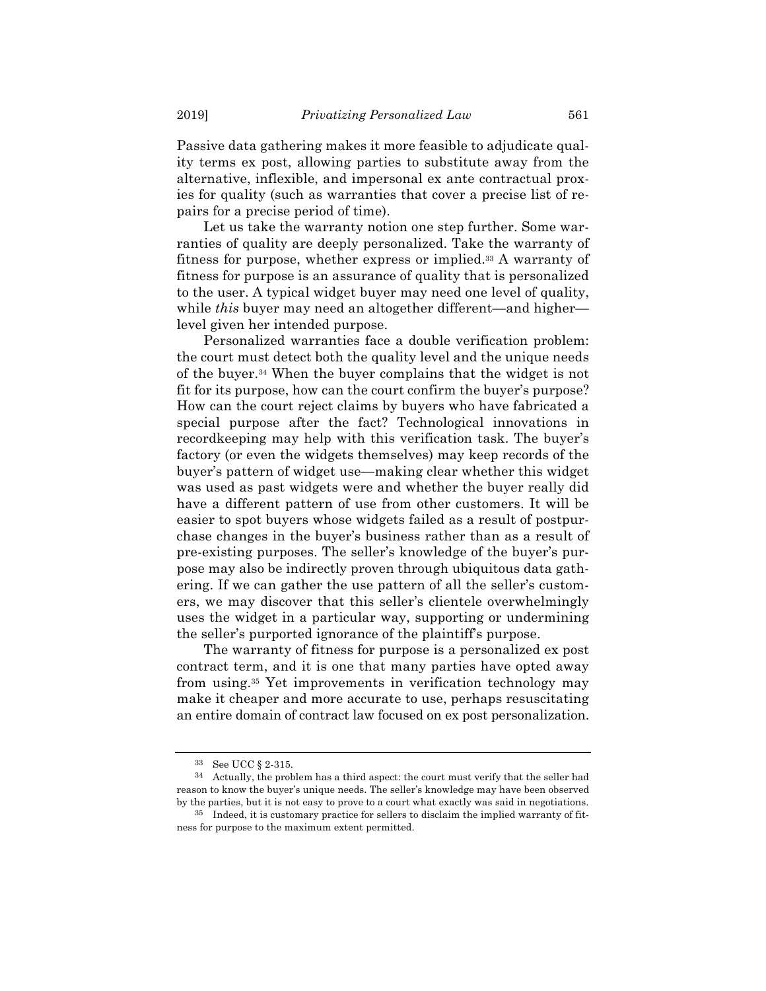Passive data gathering makes it more feasible to adjudicate quality terms ex post, allowing parties to substitute away from the alternative, inflexible, and impersonal ex ante contractual proxies for quality (such as warranties that cover a precise list of repairs for a precise period of time).

Let us take the warranty notion one step further. Some warranties of quality are deeply personalized. Take the warranty of fitness for purpose, whether express or implied.33 A warranty of fitness for purpose is an assurance of quality that is personalized to the user. A typical widget buyer may need one level of quality, while *this* buyer may need an altogether different—and higher level given her intended purpose.

Personalized warranties face a double verification problem: the court must detect both the quality level and the unique needs of the buyer.34 When the buyer complains that the widget is not fit for its purpose, how can the court confirm the buyer's purpose? How can the court reject claims by buyers who have fabricated a special purpose after the fact? Technological innovations in recordkeeping may help with this verification task. The buyer's factory (or even the widgets themselves) may keep records of the buyer's pattern of widget use—making clear whether this widget was used as past widgets were and whether the buyer really did have a different pattern of use from other customers. It will be easier to spot buyers whose widgets failed as a result of postpurchase changes in the buyer's business rather than as a result of pre-existing purposes. The seller's knowledge of the buyer's purpose may also be indirectly proven through ubiquitous data gathering. If we can gather the use pattern of all the seller's customers, we may discover that this seller's clientele overwhelmingly uses the widget in a particular way, supporting or undermining the seller's purported ignorance of the plaintiff's purpose.

The warranty of fitness for purpose is a personalized ex post contract term, and it is one that many parties have opted away from using.35 Yet improvements in verification technology may make it cheaper and more accurate to use, perhaps resuscitating an entire domain of contract law focused on ex post personalization.

<sup>33</sup> See UCC § 2-315.

<sup>34</sup> Actually, the problem has a third aspect: the court must verify that the seller had reason to know the buyer's unique needs. The seller's knowledge may have been observed by the parties, but it is not easy to prove to a court what exactly was said in negotiations.

<sup>35</sup> Indeed, it is customary practice for sellers to disclaim the implied warranty of fitness for purpose to the maximum extent permitted.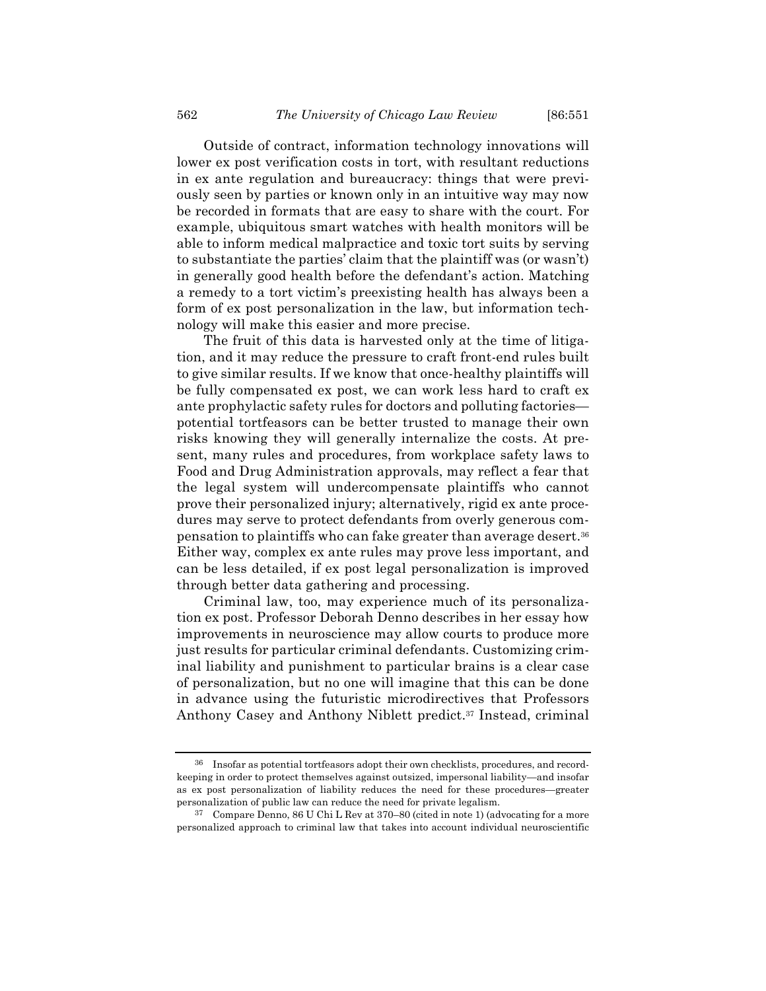Outside of contract, information technology innovations will lower ex post verification costs in tort, with resultant reductions in ex ante regulation and bureaucracy: things that were previously seen by parties or known only in an intuitive way may now be recorded in formats that are easy to share with the court. For example, ubiquitous smart watches with health monitors will be able to inform medical malpractice and toxic tort suits by serving to substantiate the parties' claim that the plaintiff was (or wasn't) in generally good health before the defendant's action. Matching a remedy to a tort victim's preexisting health has always been a form of ex post personalization in the law, but information technology will make this easier and more precise.

The fruit of this data is harvested only at the time of litigation, and it may reduce the pressure to craft front-end rules built to give similar results. If we know that once-healthy plaintiffs will be fully compensated ex post, we can work less hard to craft ex ante prophylactic safety rules for doctors and polluting factories potential tortfeasors can be better trusted to manage their own risks knowing they will generally internalize the costs. At present, many rules and procedures, from workplace safety laws to Food and Drug Administration approvals, may reflect a fear that the legal system will undercompensate plaintiffs who cannot prove their personalized injury; alternatively, rigid ex ante procedures may serve to protect defendants from overly generous compensation to plaintiffs who can fake greater than average desert.36 Either way, complex ex ante rules may prove less important, and can be less detailed, if ex post legal personalization is improved through better data gathering and processing.

Criminal law, too, may experience much of its personalization ex post. Professor Deborah Denno describes in her essay how improvements in neuroscience may allow courts to produce more just results for particular criminal defendants. Customizing criminal liability and punishment to particular brains is a clear case of personalization, but no one will imagine that this can be done in advance using the futuristic microdirectives that Professors Anthony Casey and Anthony Niblett predict.37 Instead, criminal

<sup>36</sup> Insofar as potential tortfeasors adopt their own checklists, procedures, and recordkeeping in order to protect themselves against outsized, impersonal liability—and insofar as ex post personalization of liability reduces the need for these procedures—greater personalization of public law can reduce the need for private legalism.

<sup>37</sup> Compare Denno, 86 U Chi L Rev at 370–80 (cited in note 1) (advocating for a more personalized approach to criminal law that takes into account individual neuroscientific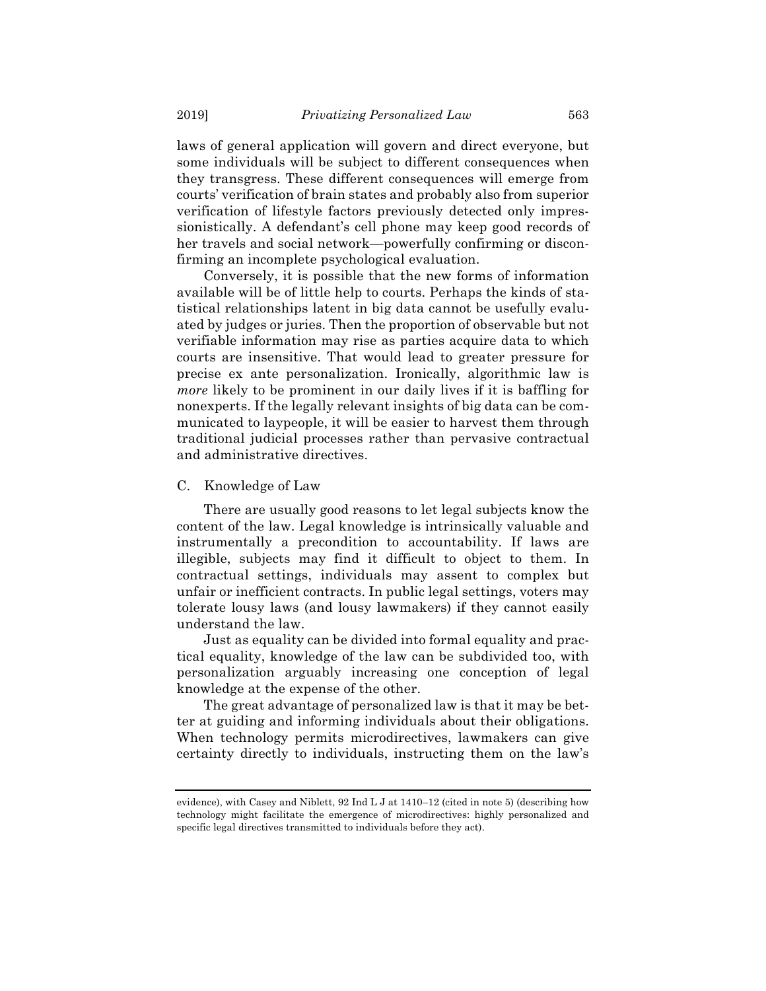laws of general application will govern and direct everyone, but some individuals will be subject to different consequences when they transgress. These different consequences will emerge from courts' verification of brain states and probably also from superior verification of lifestyle factors previously detected only impressionistically. A defendant's cell phone may keep good records of her travels and social network—powerfully confirming or disconfirming an incomplete psychological evaluation.

Conversely, it is possible that the new forms of information available will be of little help to courts. Perhaps the kinds of statistical relationships latent in big data cannot be usefully evaluated by judges or juries. Then the proportion of observable but not verifiable information may rise as parties acquire data to which courts are insensitive. That would lead to greater pressure for precise ex ante personalization. Ironically, algorithmic law is *more* likely to be prominent in our daily lives if it is baffling for nonexperts. If the legally relevant insights of big data can be communicated to laypeople, it will be easier to harvest them through traditional judicial processes rather than pervasive contractual and administrative directives.

# C. Knowledge of Law

There are usually good reasons to let legal subjects know the content of the law. Legal knowledge is intrinsically valuable and instrumentally a precondition to accountability. If laws are illegible, subjects may find it difficult to object to them. In contractual settings, individuals may assent to complex but unfair or inefficient contracts. In public legal settings, voters may tolerate lousy laws (and lousy lawmakers) if they cannot easily understand the law.

Just as equality can be divided into formal equality and practical equality, knowledge of the law can be subdivided too, with personalization arguably increasing one conception of legal knowledge at the expense of the other.

The great advantage of personalized law is that it may be better at guiding and informing individuals about their obligations. When technology permits microdirectives, lawmakers can give certainty directly to individuals, instructing them on the law's

evidence), with Casey and Niblett, 92 Ind L J at 1410–12 (cited in note 5) (describing how technology might facilitate the emergence of microdirectives: highly personalized and specific legal directives transmitted to individuals before they act).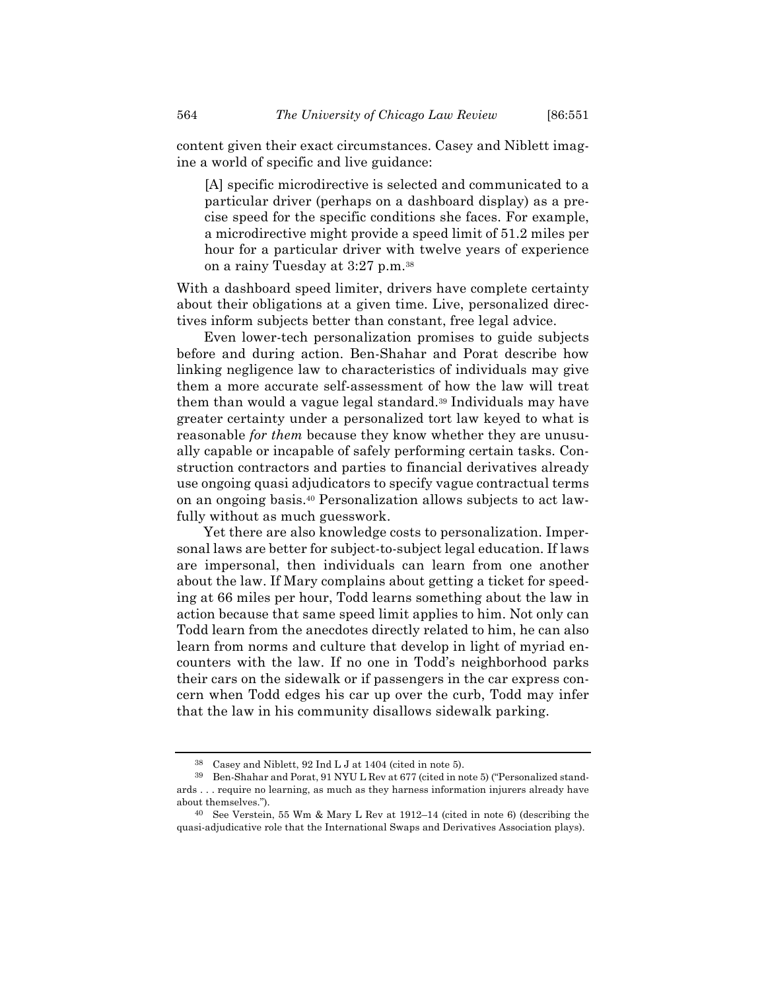content given their exact circumstances. Casey and Niblett imagine a world of specific and live guidance:

[A] specific microdirective is selected and communicated to a particular driver (perhaps on a dashboard display) as a precise speed for the specific conditions she faces. For example, a microdirective might provide a speed limit of 51.2 miles per hour for a particular driver with twelve years of experience on a rainy Tuesday at 3:27 p.m.38

With a dashboard speed limiter, drivers have complete certainty about their obligations at a given time. Live, personalized directives inform subjects better than constant, free legal advice.

Even lower-tech personalization promises to guide subjects before and during action. Ben-Shahar and Porat describe how linking negligence law to characteristics of individuals may give them a more accurate self-assessment of how the law will treat them than would a vague legal standard.39 Individuals may have greater certainty under a personalized tort law keyed to what is reasonable *for them* because they know whether they are unusually capable or incapable of safely performing certain tasks. Construction contractors and parties to financial derivatives already use ongoing quasi adjudicators to specify vague contractual terms on an ongoing basis.40 Personalization allows subjects to act lawfully without as much guesswork.

Yet there are also knowledge costs to personalization. Impersonal laws are better for subject-to-subject legal education. If laws are impersonal, then individuals can learn from one another about the law. If Mary complains about getting a ticket for speeding at 66 miles per hour, Todd learns something about the law in action because that same speed limit applies to him. Not only can Todd learn from the anecdotes directly related to him, he can also learn from norms and culture that develop in light of myriad encounters with the law. If no one in Todd's neighborhood parks their cars on the sidewalk or if passengers in the car express concern when Todd edges his car up over the curb, Todd may infer that the law in his community disallows sidewalk parking.

<sup>38</sup> Casey and Niblett, 92 Ind L J at 1404 (cited in note 5).

<sup>39</sup> Ben-Shahar and Porat, 91 NYU L Rev at 677 (cited in note 5) ("Personalized standards . . . require no learning, as much as they harness information injurers already have about themselves.").

<sup>40</sup> See Verstein, 55 Wm & Mary L Rev at 1912–14 (cited in note 6) (describing the quasi-adjudicative role that the International Swaps and Derivatives Association plays).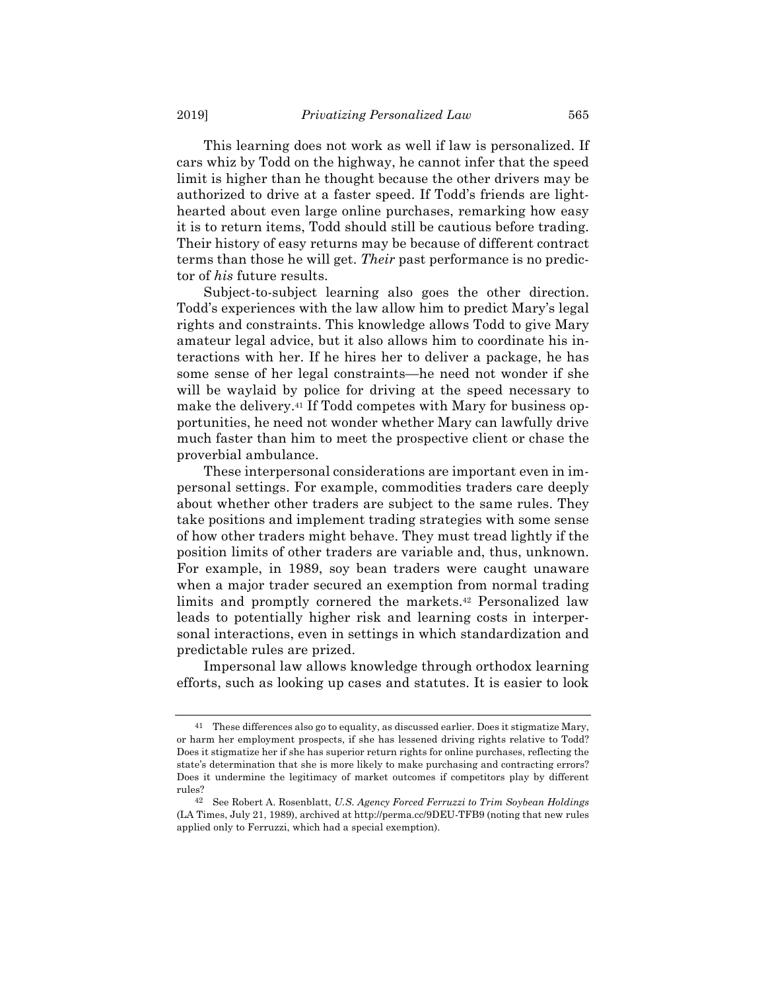This learning does not work as well if law is personalized. If cars whiz by Todd on the highway, he cannot infer that the speed limit is higher than he thought because the other drivers may be authorized to drive at a faster speed. If Todd's friends are lighthearted about even large online purchases, remarking how easy it is to return items, Todd should still be cautious before trading. Their history of easy returns may be because of different contract terms than those he will get. *Their* past performance is no predictor of *his* future results.

Subject-to-subject learning also goes the other direction. Todd's experiences with the law allow him to predict Mary's legal rights and constraints. This knowledge allows Todd to give Mary amateur legal advice, but it also allows him to coordinate his interactions with her. If he hires her to deliver a package, he has some sense of her legal constraints—he need not wonder if she will be waylaid by police for driving at the speed necessary to make the delivery.41 If Todd competes with Mary for business opportunities, he need not wonder whether Mary can lawfully drive much faster than him to meet the prospective client or chase the proverbial ambulance.

These interpersonal considerations are important even in impersonal settings. For example, commodities traders care deeply about whether other traders are subject to the same rules. They take positions and implement trading strategies with some sense of how other traders might behave. They must tread lightly if the position limits of other traders are variable and, thus, unknown. For example, in 1989, soy bean traders were caught unaware when a major trader secured an exemption from normal trading limits and promptly cornered the markets.42 Personalized law leads to potentially higher risk and learning costs in interpersonal interactions, even in settings in which standardization and predictable rules are prized.

Impersonal law allows knowledge through orthodox learning efforts, such as looking up cases and statutes. It is easier to look

<sup>41</sup> These differences also go to equality, as discussed earlier. Does it stigmatize Mary, or harm her employment prospects, if she has lessened driving rights relative to Todd? Does it stigmatize her if she has superior return rights for online purchases, reflecting the state's determination that she is more likely to make purchasing and contracting errors? Does it undermine the legitimacy of market outcomes if competitors play by different rules?

<sup>42</sup> See Robert A. Rosenblatt, *U.S. Agency Forced Ferruzzi to Trim Soybean Holdings* (LA Times, July 21, 1989), archived at http://perma.cc/9DEU-TFB9 (noting that new rules applied only to Ferruzzi, which had a special exemption).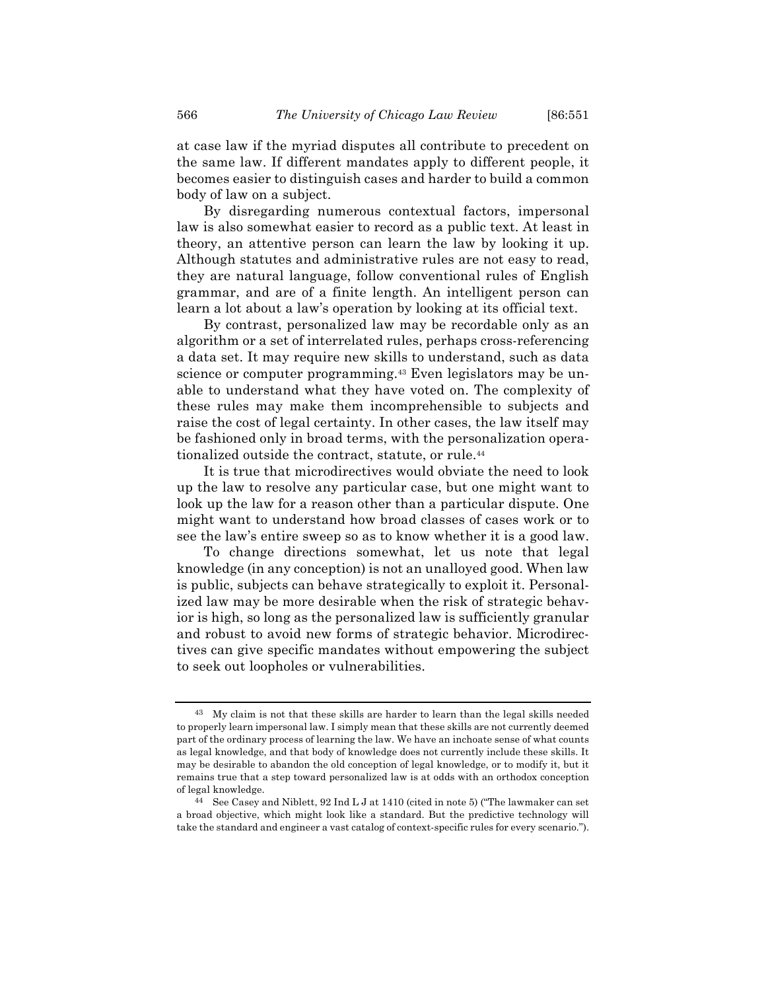at case law if the myriad disputes all contribute to precedent on the same law. If different mandates apply to different people, it becomes easier to distinguish cases and harder to build a common body of law on a subject.

By disregarding numerous contextual factors, impersonal law is also somewhat easier to record as a public text. At least in theory, an attentive person can learn the law by looking it up. Although statutes and administrative rules are not easy to read, they are natural language, follow conventional rules of English grammar, and are of a finite length. An intelligent person can learn a lot about a law's operation by looking at its official text.

By contrast, personalized law may be recordable only as an algorithm or a set of interrelated rules, perhaps cross-referencing a data set. It may require new skills to understand, such as data science or computer programming.<sup>43</sup> Even legislators may be unable to understand what they have voted on. The complexity of these rules may make them incomprehensible to subjects and raise the cost of legal certainty. In other cases, the law itself may be fashioned only in broad terms, with the personalization operationalized outside the contract, statute, or rule.44

It is true that microdirectives would obviate the need to look up the law to resolve any particular case, but one might want to look up the law for a reason other than a particular dispute. One might want to understand how broad classes of cases work or to see the law's entire sweep so as to know whether it is a good law.

To change directions somewhat, let us note that legal knowledge (in any conception) is not an unalloyed good. When law is public, subjects can behave strategically to exploit it. Personalized law may be more desirable when the risk of strategic behavior is high, so long as the personalized law is sufficiently granular and robust to avoid new forms of strategic behavior. Microdirectives can give specific mandates without empowering the subject to seek out loopholes or vulnerabilities.

<sup>43</sup> My claim is not that these skills are harder to learn than the legal skills needed to properly learn impersonal law. I simply mean that these skills are not currently deemed part of the ordinary process of learning the law. We have an inchoate sense of what counts as legal knowledge, and that body of knowledge does not currently include these skills. It may be desirable to abandon the old conception of legal knowledge, or to modify it, but it remains true that a step toward personalized law is at odds with an orthodox conception of legal knowledge.

<sup>44</sup> See Casey and Niblett, 92 Ind L J at 1410 (cited in note 5) ("The lawmaker can set a broad objective, which might look like a standard. But the predictive technology will take the standard and engineer a vast catalog of context-specific rules for every scenario.").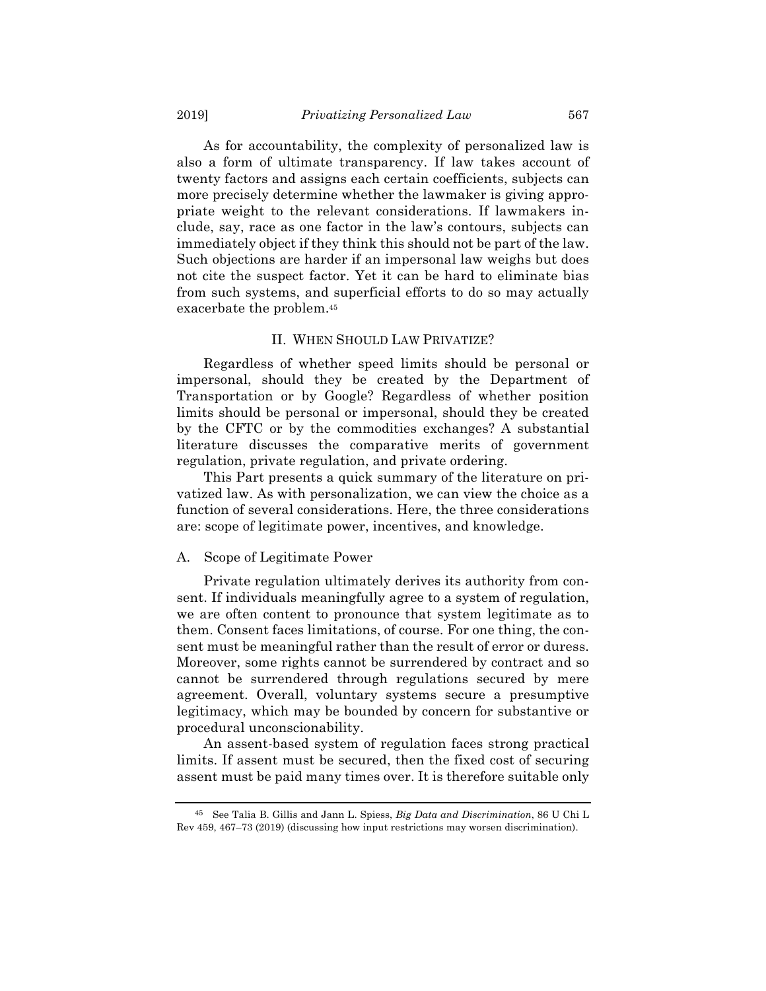As for accountability, the complexity of personalized law is also a form of ultimate transparency. If law takes account of twenty factors and assigns each certain coefficients, subjects can more precisely determine whether the lawmaker is giving appropriate weight to the relevant considerations. If lawmakers include, say, race as one factor in the law's contours, subjects can immediately object if they think this should not be part of the law. Such objections are harder if an impersonal law weighs but does not cite the suspect factor. Yet it can be hard to eliminate bias from such systems, and superficial efforts to do so may actually exacerbate the problem.45

#### II. WHEN SHOULD LAW PRIVATIZE?

Regardless of whether speed limits should be personal or impersonal, should they be created by the Department of Transportation or by Google? Regardless of whether position limits should be personal or impersonal, should they be created by the CFTC or by the commodities exchanges? A substantial literature discusses the comparative merits of government regulation, private regulation, and private ordering.

This Part presents a quick summary of the literature on privatized law. As with personalization, we can view the choice as a function of several considerations. Here, the three considerations are: scope of legitimate power, incentives, and knowledge.

## A. Scope of Legitimate Power

Private regulation ultimately derives its authority from consent. If individuals meaningfully agree to a system of regulation, we are often content to pronounce that system legitimate as to them. Consent faces limitations, of course. For one thing, the consent must be meaningful rather than the result of error or duress. Moreover, some rights cannot be surrendered by contract and so cannot be surrendered through regulations secured by mere agreement. Overall, voluntary systems secure a presumptive legitimacy, which may be bounded by concern for substantive or procedural unconscionability.

An assent-based system of regulation faces strong practical limits. If assent must be secured, then the fixed cost of securing assent must be paid many times over. It is therefore suitable only

<sup>45</sup> See Talia B. Gillis and Jann L. Spiess, *Big Data and Discrimination*, 86 U Chi L Rev 459, 467–73 (2019) (discussing how input restrictions may worsen discrimination).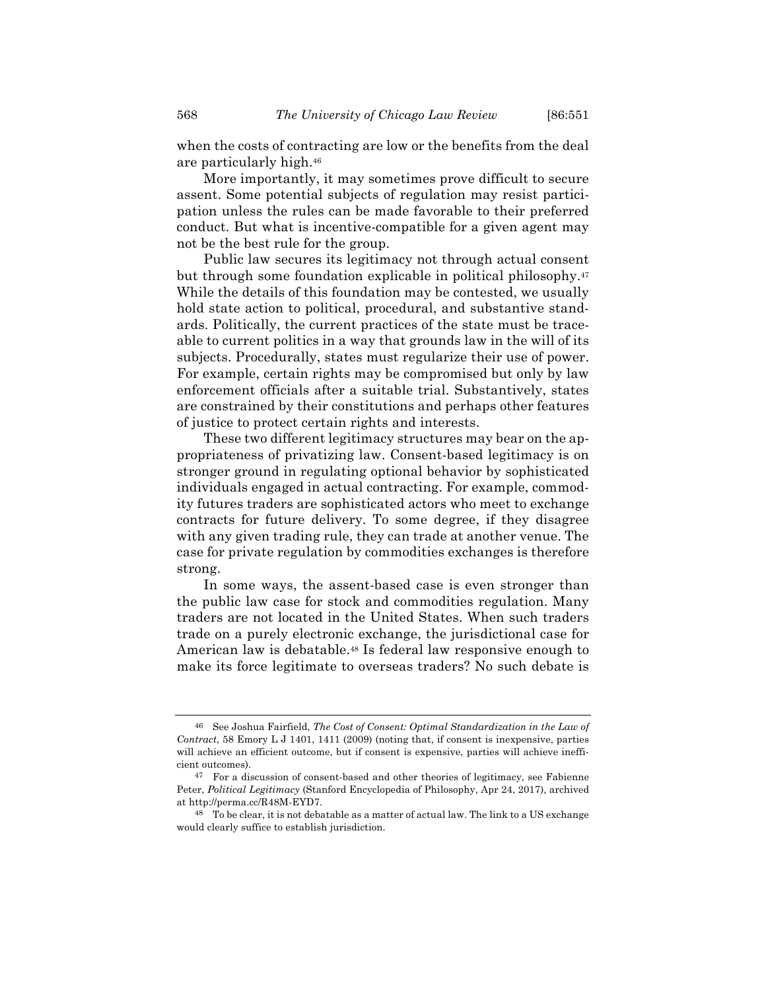when the costs of contracting are low or the benefits from the deal are particularly high.46

More importantly, it may sometimes prove difficult to secure assent. Some potential subjects of regulation may resist participation unless the rules can be made favorable to their preferred conduct. But what is incentive-compatible for a given agent may not be the best rule for the group.

Public law secures its legitimacy not through actual consent but through some foundation explicable in political philosophy.47 While the details of this foundation may be contested, we usually hold state action to political, procedural, and substantive standards. Politically, the current practices of the state must be traceable to current politics in a way that grounds law in the will of its subjects. Procedurally, states must regularize their use of power. For example, certain rights may be compromised but only by law enforcement officials after a suitable trial. Substantively, states are constrained by their constitutions and perhaps other features of justice to protect certain rights and interests.

These two different legitimacy structures may bear on the appropriateness of privatizing law. Consent-based legitimacy is on stronger ground in regulating optional behavior by sophisticated individuals engaged in actual contracting. For example, commodity futures traders are sophisticated actors who meet to exchange contracts for future delivery. To some degree, if they disagree with any given trading rule, they can trade at another venue. The case for private regulation by commodities exchanges is therefore strong.

In some ways, the assent-based case is even stronger than the public law case for stock and commodities regulation. Many traders are not located in the United States. When such traders trade on a purely electronic exchange, the jurisdictional case for American law is debatable.48 Is federal law responsive enough to make its force legitimate to overseas traders? No such debate is

<sup>46</sup> See Joshua Fairfield, *The Cost of Consent: Optimal Standardization in the Law of Contract*, 58 Emory L J 1401, 1411 (2009) (noting that, if consent is inexpensive, parties will achieve an efficient outcome, but if consent is expensive, parties will achieve inefficient outcomes).

<sup>47</sup> For a discussion of consent-based and other theories of legitimacy, see Fabienne Peter, *Political Legitimacy* (Stanford Encyclopedia of Philosophy, Apr 24, 2017), archived at http://perma.cc/R48M-EYD7.

<sup>48</sup> To be clear, it is not debatable as a matter of actual law. The link to a US exchange would clearly suffice to establish jurisdiction.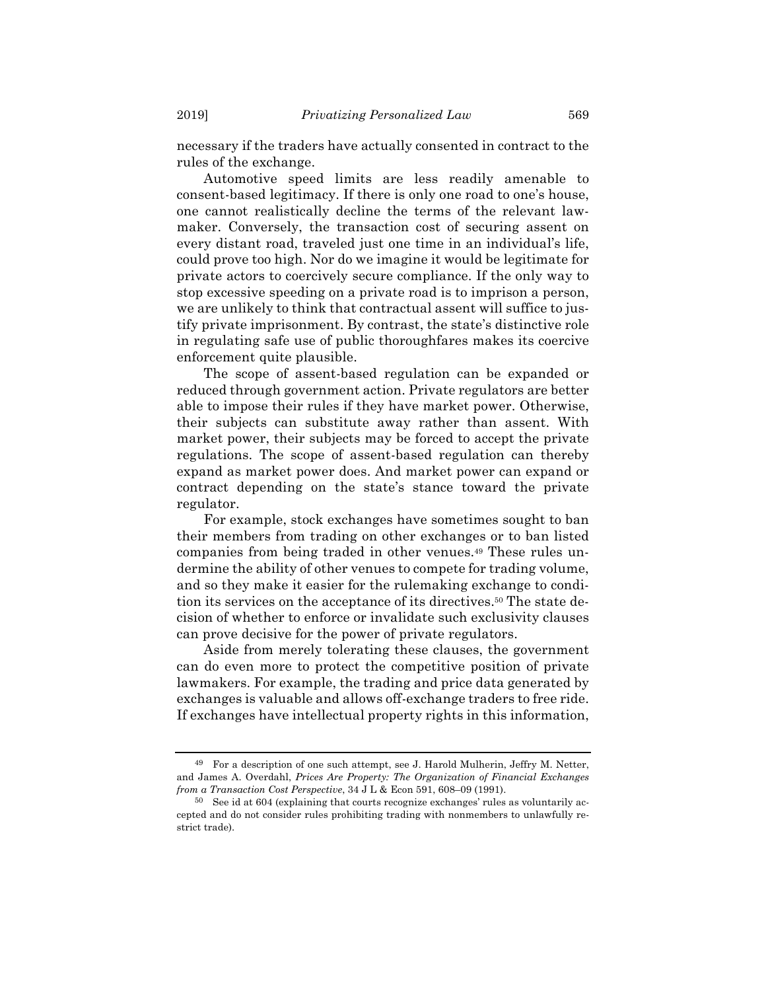necessary if the traders have actually consented in contract to the rules of the exchange.

Automotive speed limits are less readily amenable to consent-based legitimacy. If there is only one road to one's house, one cannot realistically decline the terms of the relevant lawmaker. Conversely, the transaction cost of securing assent on every distant road, traveled just one time in an individual's life, could prove too high. Nor do we imagine it would be legitimate for private actors to coercively secure compliance. If the only way to stop excessive speeding on a private road is to imprison a person, we are unlikely to think that contractual assent will suffice to justify private imprisonment. By contrast, the state's distinctive role in regulating safe use of public thoroughfares makes its coercive enforcement quite plausible.

The scope of assent-based regulation can be expanded or reduced through government action. Private regulators are better able to impose their rules if they have market power. Otherwise, their subjects can substitute away rather than assent. With market power, their subjects may be forced to accept the private regulations. The scope of assent-based regulation can thereby expand as market power does. And market power can expand or contract depending on the state's stance toward the private regulator.

For example, stock exchanges have sometimes sought to ban their members from trading on other exchanges or to ban listed companies from being traded in other venues.49 These rules undermine the ability of other venues to compete for trading volume, and so they make it easier for the rulemaking exchange to condition its services on the acceptance of its directives.50 The state decision of whether to enforce or invalidate such exclusivity clauses can prove decisive for the power of private regulators.

Aside from merely tolerating these clauses, the government can do even more to protect the competitive position of private lawmakers. For example, the trading and price data generated by exchanges is valuable and allows off-exchange traders to free ride. If exchanges have intellectual property rights in this information,

<sup>49</sup> For a description of one such attempt, see J. Harold Mulherin, Jeffry M. Netter, and James A. Overdahl, *Prices Are Property: The Organization of Financial Exchanges from a Transaction Cost Perspective*, 34 J L & Econ 591, 608–09 (1991).

<sup>50</sup> See id at 604 (explaining that courts recognize exchanges' rules as voluntarily accepted and do not consider rules prohibiting trading with nonmembers to unlawfully restrict trade).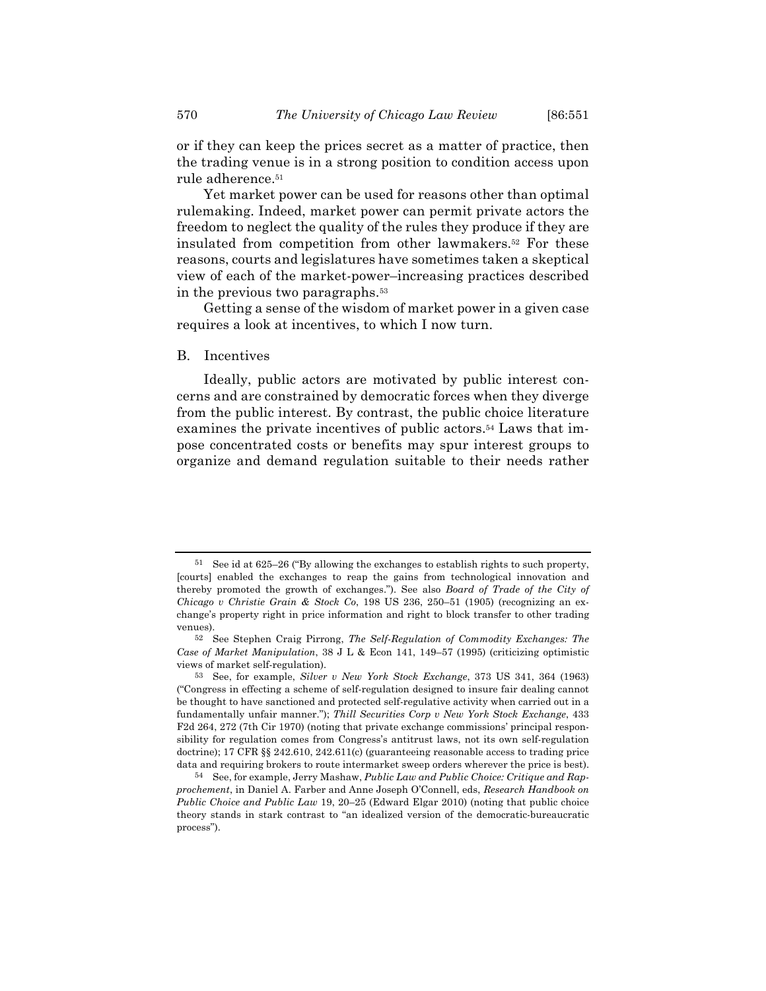or if they can keep the prices secret as a matter of practice, then the trading venue is in a strong position to condition access upon rule adherence.51

Yet market power can be used for reasons other than optimal rulemaking. Indeed, market power can permit private actors the freedom to neglect the quality of the rules they produce if they are insulated from competition from other lawmakers.52 For these reasons, courts and legislatures have sometimes taken a skeptical view of each of the market-power–increasing practices described in the previous two paragraphs.53

Getting a sense of the wisdom of market power in a given case requires a look at incentives, to which I now turn.

#### B. Incentives

Ideally, public actors are motivated by public interest concerns and are constrained by democratic forces when they diverge from the public interest. By contrast, the public choice literature examines the private incentives of public actors.54 Laws that impose concentrated costs or benefits may spur interest groups to organize and demand regulation suitable to their needs rather

<sup>51</sup> See id at 625–26 ("By allowing the exchanges to establish rights to such property, [courts] enabled the exchanges to reap the gains from technological innovation and thereby promoted the growth of exchanges."). See also *Board of Trade of the City of Chicago v Christie Grain & Stock Co*, 198 US 236, 250–51 (1905) (recognizing an exchange's property right in price information and right to block transfer to other trading venues).

<sup>52</sup> See Stephen Craig Pirrong, *The Self-Regulation of Commodity Exchanges: The Case of Market Manipulation*, 38 J L & Econ 141, 149–57 (1995) (criticizing optimistic views of market self-regulation).

<sup>53</sup> See, for example, *Silver v New York Stock Exchange*, 373 US 341, 364 (1963) ("Congress in effecting a scheme of self-regulation designed to insure fair dealing cannot be thought to have sanctioned and protected self-regulative activity when carried out in a fundamentally unfair manner."); *Thill Securities Corp v New York Stock Exchange*, 433 F2d 264, 272 (7th Cir 1970) (noting that private exchange commissions' principal responsibility for regulation comes from Congress's antitrust laws, not its own self-regulation doctrine); 17 CFR §§ 242.610, 242.611(c) (guaranteeing reasonable access to trading price data and requiring brokers to route intermarket sweep orders wherever the price is best).

<sup>54</sup> See, for example, Jerry Mashaw, *Public Law and Public Choice: Critique and Rapprochement*, in Daniel A. Farber and Anne Joseph O'Connell, eds, *Research Handbook on Public Choice and Public Law* 19, 20–25 (Edward Elgar 2010) (noting that public choice theory stands in stark contrast to "an idealized version of the democratic-bureaucratic process").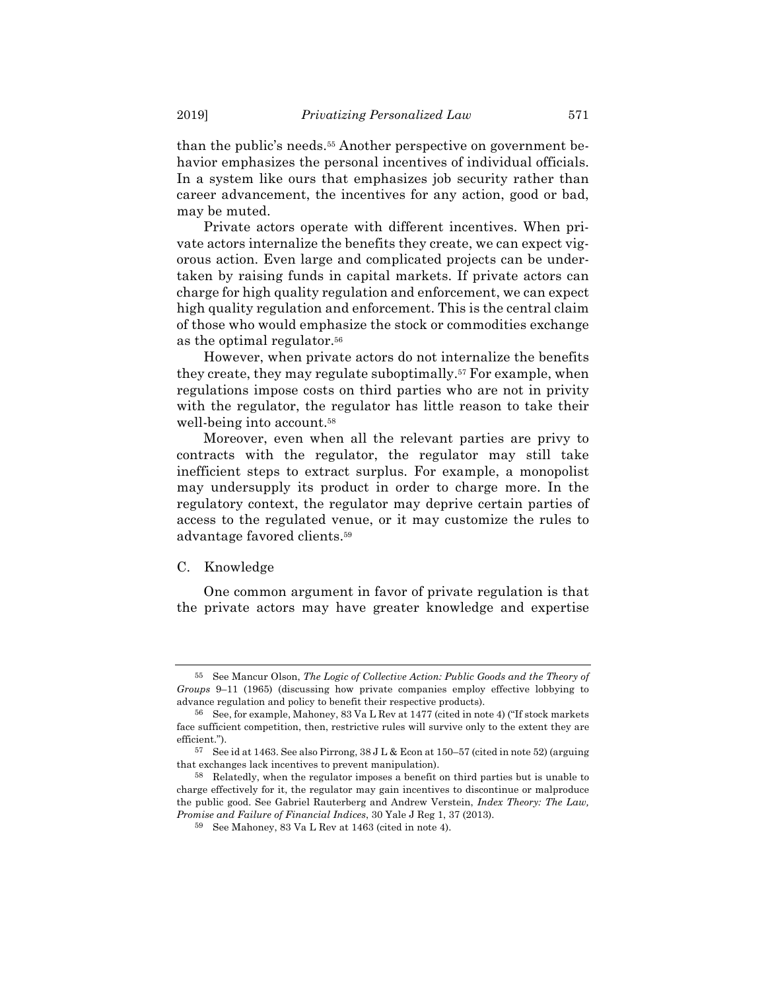than the public's needs.55 Another perspective on government behavior emphasizes the personal incentives of individual officials. In a system like ours that emphasizes job security rather than career advancement, the incentives for any action, good or bad, may be muted.

Private actors operate with different incentives. When private actors internalize the benefits they create, we can expect vigorous action. Even large and complicated projects can be undertaken by raising funds in capital markets. If private actors can charge for high quality regulation and enforcement, we can expect high quality regulation and enforcement. This is the central claim of those who would emphasize the stock or commodities exchange as the optimal regulator.56

However, when private actors do not internalize the benefits they create, they may regulate suboptimally.57 For example, when regulations impose costs on third parties who are not in privity with the regulator, the regulator has little reason to take their well-being into account.<sup>58</sup>

Moreover, even when all the relevant parties are privy to contracts with the regulator, the regulator may still take inefficient steps to extract surplus. For example, a monopolist may undersupply its product in order to charge more. In the regulatory context, the regulator may deprive certain parties of access to the regulated venue, or it may customize the rules to advantage favored clients.59

# C. Knowledge

One common argument in favor of private regulation is that the private actors may have greater knowledge and expertise

<sup>55</sup> See Mancur Olson, *The Logic of Collective Action: Public Goods and the Theory of Groups* 9–11 (1965) (discussing how private companies employ effective lobbying to advance regulation and policy to benefit their respective products).

<sup>56</sup> See, for example, Mahoney, 83 Va L Rev at 1477 (cited in note 4) ("If stock markets face sufficient competition, then, restrictive rules will survive only to the extent they are efficient.").

 $57$  See id at 1463. See also Pirrong,  $38\,\mathrm{J}\,\mathrm{L}$  & Econ at 150–57 (cited in note 52) (arguing that exchanges lack incentives to prevent manipulation).

<sup>58</sup> Relatedly, when the regulator imposes a benefit on third parties but is unable to charge effectively for it, the regulator may gain incentives to discontinue or malproduce the public good. See Gabriel Rauterberg and Andrew Verstein, *Index Theory: The Law, Promise and Failure of Financial Indices*, 30 Yale J Reg 1, 37 (2013).

<sup>59</sup> See Mahoney, 83 Va L Rev at 1463 (cited in note 4).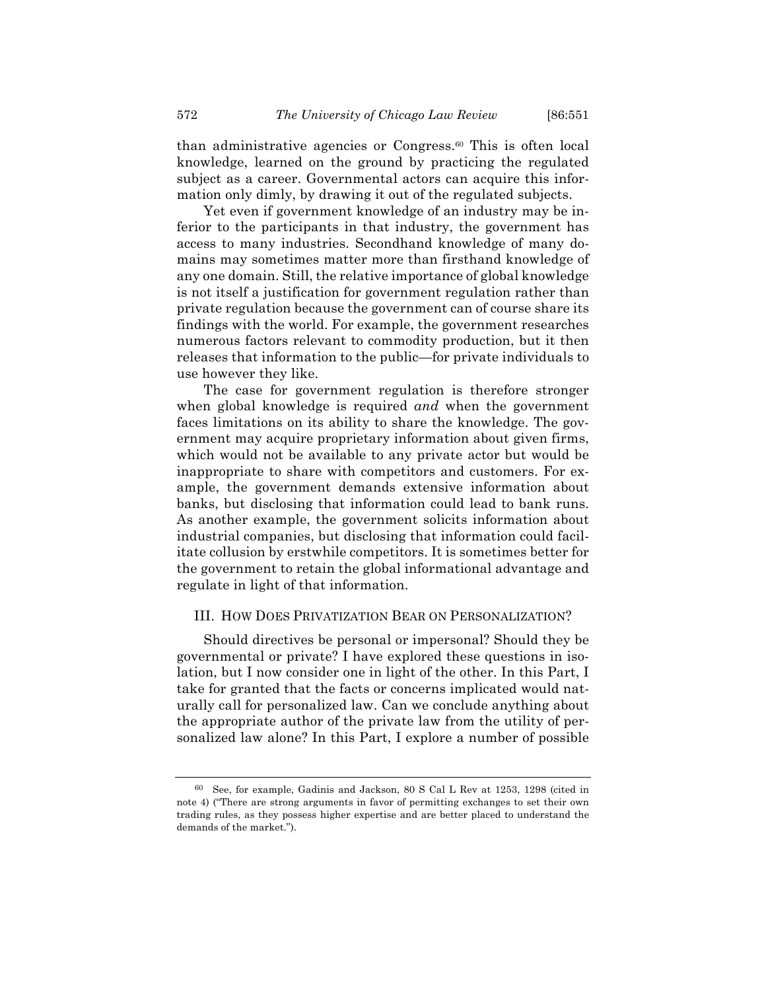than administrative agencies or Congress.60 This is often local knowledge, learned on the ground by practicing the regulated subject as a career. Governmental actors can acquire this information only dimly, by drawing it out of the regulated subjects.

Yet even if government knowledge of an industry may be inferior to the participants in that industry, the government has access to many industries. Secondhand knowledge of many domains may sometimes matter more than firsthand knowledge of any one domain. Still, the relative importance of global knowledge is not itself a justification for government regulation rather than private regulation because the government can of course share its findings with the world. For example, the government researches numerous factors relevant to commodity production, but it then releases that information to the public—for private individuals to use however they like.

The case for government regulation is therefore stronger when global knowledge is required *and* when the government faces limitations on its ability to share the knowledge. The government may acquire proprietary information about given firms, which would not be available to any private actor but would be inappropriate to share with competitors and customers. For example, the government demands extensive information about banks, but disclosing that information could lead to bank runs. As another example, the government solicits information about industrial companies, but disclosing that information could facilitate collusion by erstwhile competitors. It is sometimes better for the government to retain the global informational advantage and regulate in light of that information.

# III. HOW DOES PRIVATIZATION BEAR ON PERSONALIZATION?

Should directives be personal or impersonal? Should they be governmental or private? I have explored these questions in isolation, but I now consider one in light of the other. In this Part, I take for granted that the facts or concerns implicated would naturally call for personalized law. Can we conclude anything about the appropriate author of the private law from the utility of personalized law alone? In this Part, I explore a number of possible

<sup>60</sup> See, for example, Gadinis and Jackson, 80 S Cal L Rev at 1253, 1298 (cited in note 4) ("There are strong arguments in favor of permitting exchanges to set their own trading rules, as they possess higher expertise and are better placed to understand the demands of the market.").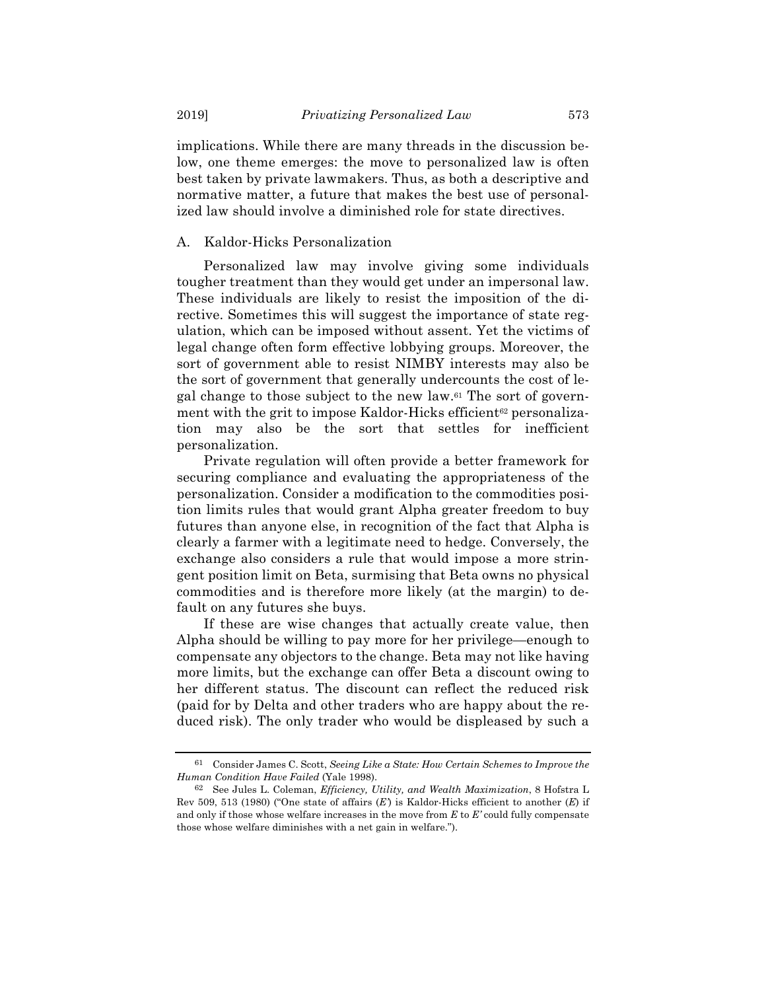implications. While there are many threads in the discussion below, one theme emerges: the move to personalized law is often best taken by private lawmakers. Thus, as both a descriptive and normative matter, a future that makes the best use of personalized law should involve a diminished role for state directives.

# A. Kaldor-Hicks Personalization

Personalized law may involve giving some individuals tougher treatment than they would get under an impersonal law. These individuals are likely to resist the imposition of the directive. Sometimes this will suggest the importance of state regulation, which can be imposed without assent. Yet the victims of legal change often form effective lobbying groups. Moreover, the sort of government able to resist NIMBY interests may also be the sort of government that generally undercounts the cost of legal change to those subject to the new law.61 The sort of government with the grit to impose Kaldor-Hicks efficient<sup>62</sup> personalization may also be the sort that settles for inefficient personalization.

Private regulation will often provide a better framework for securing compliance and evaluating the appropriateness of the personalization. Consider a modification to the commodities position limits rules that would grant Alpha greater freedom to buy futures than anyone else, in recognition of the fact that Alpha is clearly a farmer with a legitimate need to hedge. Conversely, the exchange also considers a rule that would impose a more stringent position limit on Beta, surmising that Beta owns no physical commodities and is therefore more likely (at the margin) to default on any futures she buys.

If these are wise changes that actually create value, then Alpha should be willing to pay more for her privilege—enough to compensate any objectors to the change. Beta may not like having more limits, but the exchange can offer Beta a discount owing to her different status. The discount can reflect the reduced risk (paid for by Delta and other traders who are happy about the reduced risk). The only trader who would be displeased by such a

<sup>61</sup> Consider James C. Scott, *Seeing Like a State: How Certain Schemes to Improve the Human Condition Have Failed* (Yale 1998).

<sup>62</sup> See Jules L. Coleman, *Efficiency, Utility, and Wealth Maximization*, 8 Hofstra L Rev 509, 513 (1980) ("One state of affairs (*E'*) is Kaldor-Hicks efficient to another (*E*) if and only if those whose welfare increases in the move from *E* to *E'* could fully compensate those whose welfare diminishes with a net gain in welfare.").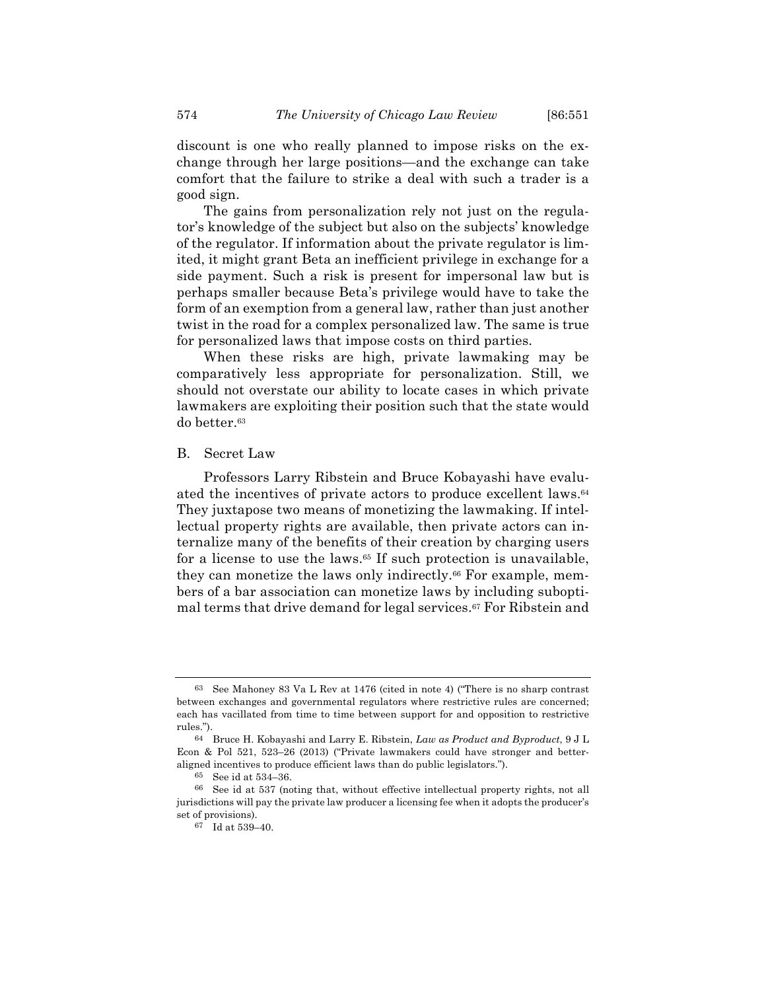discount is one who really planned to impose risks on the exchange through her large positions—and the exchange can take comfort that the failure to strike a deal with such a trader is a good sign.

The gains from personalization rely not just on the regulator's knowledge of the subject but also on the subjects' knowledge of the regulator. If information about the private regulator is limited, it might grant Beta an inefficient privilege in exchange for a side payment. Such a risk is present for impersonal law but is perhaps smaller because Beta's privilege would have to take the form of an exemption from a general law, rather than just another twist in the road for a complex personalized law. The same is true for personalized laws that impose costs on third parties.

When these risks are high, private lawmaking may be comparatively less appropriate for personalization. Still, we should not overstate our ability to locate cases in which private lawmakers are exploiting their position such that the state would do better.63

## B. Secret Law

Professors Larry Ribstein and Bruce Kobayashi have evaluated the incentives of private actors to produce excellent laws.64 They juxtapose two means of monetizing the lawmaking. If intellectual property rights are available, then private actors can internalize many of the benefits of their creation by charging users for a license to use the laws.65 If such protection is unavailable, they can monetize the laws only indirectly.66 For example, members of a bar association can monetize laws by including suboptimal terms that drive demand for legal services.67 For Ribstein and

<sup>63</sup> See Mahoney 83 Va L Rev at 1476 (cited in note 4) ("There is no sharp contrast between exchanges and governmental regulators where restrictive rules are concerned; each has vacillated from time to time between support for and opposition to restrictive rules.").

<sup>64</sup> Bruce H. Kobayashi and Larry E. Ribstein, *Law as Product and Byproduct*, 9 J L Econ & Pol 521, 523–26 (2013) ("Private lawmakers could have stronger and betteraligned incentives to produce efficient laws than do public legislators.").

<sup>65</sup> See id at 534–36.

<sup>66</sup> See id at 537 (noting that, without effective intellectual property rights, not all jurisdictions will pay the private law producer a licensing fee when it adopts the producer's set of provisions).

<sup>67</sup> Id at 539–40.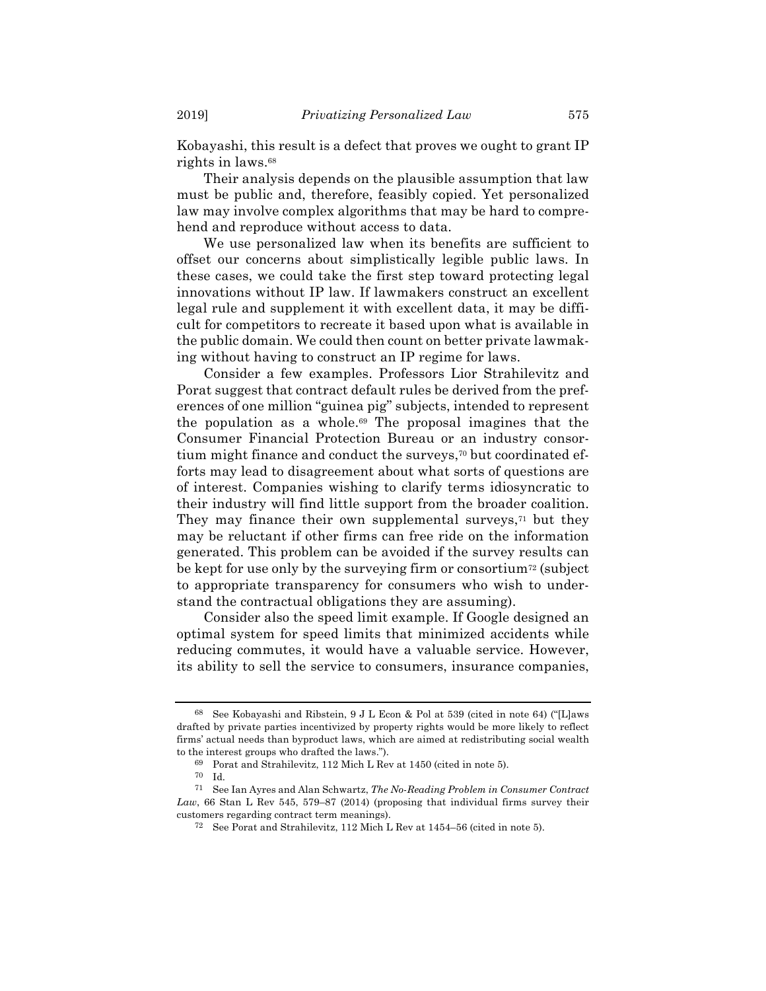Kobayashi, this result is a defect that proves we ought to grant IP rights in laws.68

Their analysis depends on the plausible assumption that law must be public and, therefore, feasibly copied. Yet personalized law may involve complex algorithms that may be hard to comprehend and reproduce without access to data.

We use personalized law when its benefits are sufficient to offset our concerns about simplistically legible public laws. In these cases, we could take the first step toward protecting legal innovations without IP law. If lawmakers construct an excellent legal rule and supplement it with excellent data, it may be difficult for competitors to recreate it based upon what is available in the public domain. We could then count on better private lawmaking without having to construct an IP regime for laws.

Consider a few examples. Professors Lior Strahilevitz and Porat suggest that contract default rules be derived from the preferences of one million "guinea pig" subjects, intended to represent the population as a whole.69 The proposal imagines that the Consumer Financial Protection Bureau or an industry consortium might finance and conduct the surveys,<sup>70</sup> but coordinated efforts may lead to disagreement about what sorts of questions are of interest. Companies wishing to clarify terms idiosyncratic to their industry will find little support from the broader coalition. They may finance their own supplemental surveys, $71$  but they may be reluctant if other firms can free ride on the information generated. This problem can be avoided if the survey results can be kept for use only by the surveying firm or consortium72 (subject to appropriate transparency for consumers who wish to understand the contractual obligations they are assuming).

Consider also the speed limit example. If Google designed an optimal system for speed limits that minimized accidents while reducing commutes, it would have a valuable service. However, its ability to sell the service to consumers, insurance companies,

<sup>68</sup> See Kobayashi and Ribstein, 9 J L Econ & Pol at 539 (cited in note 64) ("[L]aws drafted by private parties incentivized by property rights would be more likely to reflect firms' actual needs than byproduct laws, which are aimed at redistributing social wealth to the interest groups who drafted the laws.").

<sup>69</sup> Porat and Strahilevitz, 112 Mich L Rev at 1450 (cited in note 5).

<sup>70</sup> Id.

<sup>71</sup> See Ian Ayres and Alan Schwartz, *The No-Reading Problem in Consumer Contract Law*, 66 Stan L Rev 545, 579–87 (2014) (proposing that individual firms survey their customers regarding contract term meanings).

<sup>72</sup> See Porat and Strahilevitz, 112 Mich L Rev at 1454–56 (cited in note 5).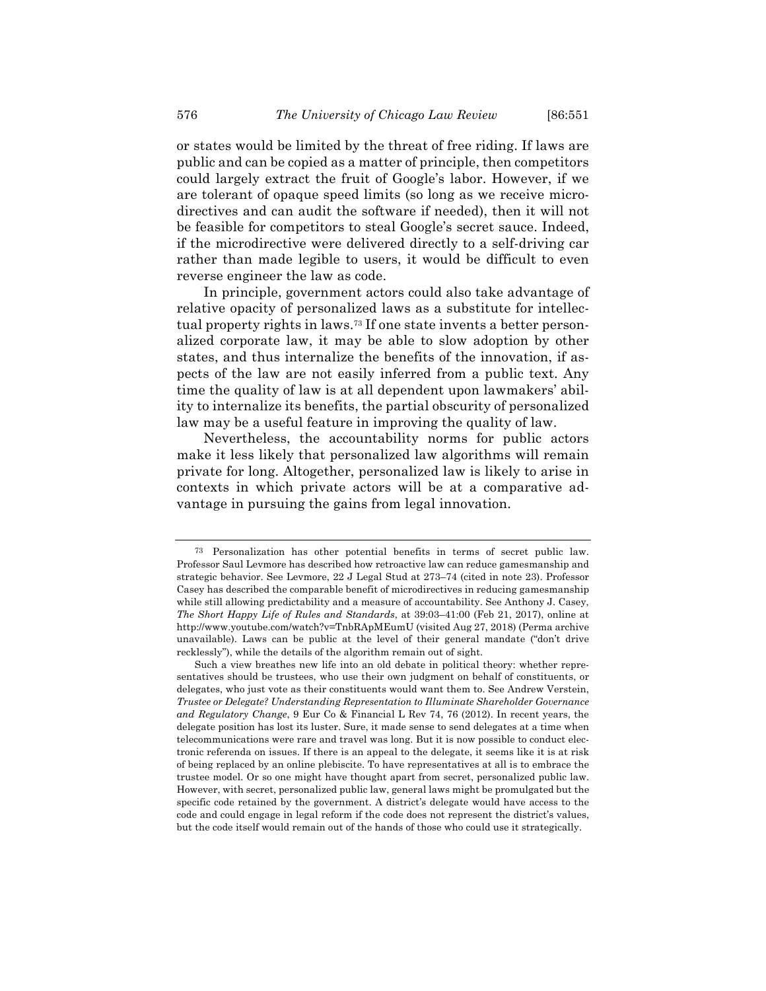or states would be limited by the threat of free riding. If laws are public and can be copied as a matter of principle, then competitors could largely extract the fruit of Google's labor. However, if we are tolerant of opaque speed limits (so long as we receive microdirectives and can audit the software if needed), then it will not be feasible for competitors to steal Google's secret sauce. Indeed, if the microdirective were delivered directly to a self-driving car rather than made legible to users, it would be difficult to even reverse engineer the law as code.

In principle, government actors could also take advantage of relative opacity of personalized laws as a substitute for intellectual property rights in laws.73 If one state invents a better personalized corporate law, it may be able to slow adoption by other states, and thus internalize the benefits of the innovation, if aspects of the law are not easily inferred from a public text. Any time the quality of law is at all dependent upon lawmakers' ability to internalize its benefits, the partial obscurity of personalized law may be a useful feature in improving the quality of law.

Nevertheless, the accountability norms for public actors make it less likely that personalized law algorithms will remain private for long. Altogether, personalized law is likely to arise in contexts in which private actors will be at a comparative advantage in pursuing the gains from legal innovation.

<sup>73</sup> Personalization has other potential benefits in terms of secret public law. Professor Saul Levmore has described how retroactive law can reduce gamesmanship and strategic behavior. See Levmore, 22 J Legal Stud at 273–74 (cited in note 23). Professor Casey has described the comparable benefit of microdirectives in reducing gamesmanship while still allowing predictability and a measure of accountability. See Anthony J. Casey, *The Short Happy Life of Rules and Standards*, at 39:03–41:00 (Feb 21, 2017), online at http://www.youtube.com/watch?v=TnbRApMEumU (visited Aug 27, 2018) (Perma archive unavailable). Laws can be public at the level of their general mandate ("don't drive recklessly"), while the details of the algorithm remain out of sight.

Such a view breathes new life into an old debate in political theory: whether representatives should be trustees, who use their own judgment on behalf of constituents, or delegates, who just vote as their constituents would want them to. See Andrew Verstein, *Trustee or Delegate? Understanding Representation to Illuminate Shareholder Governance and Regulatory Change*, 9 Eur Co & Financial L Rev 74, 76 (2012). In recent years, the delegate position has lost its luster. Sure, it made sense to send delegates at a time when telecommunications were rare and travel was long. But it is now possible to conduct electronic referenda on issues. If there is an appeal to the delegate, it seems like it is at risk of being replaced by an online plebiscite. To have representatives at all is to embrace the trustee model. Or so one might have thought apart from secret, personalized public law. However, with secret, personalized public law, general laws might be promulgated but the specific code retained by the government. A district's delegate would have access to the code and could engage in legal reform if the code does not represent the district's values, but the code itself would remain out of the hands of those who could use it strategically.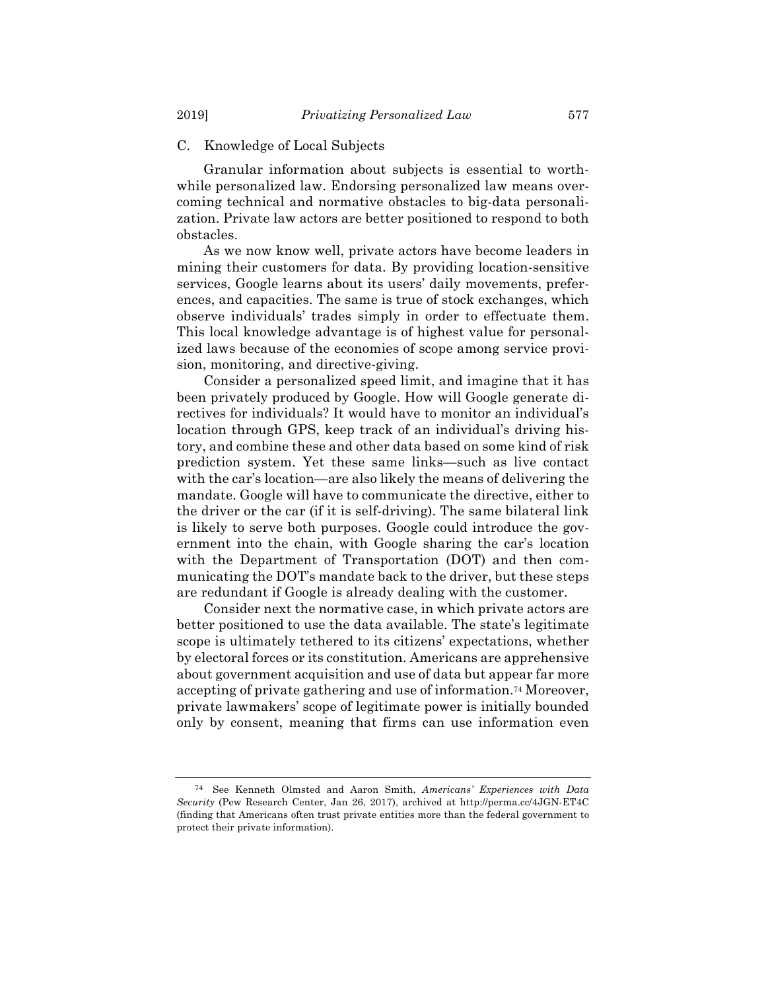## C. Knowledge of Local Subjects

Granular information about subjects is essential to worthwhile personalized law. Endorsing personalized law means overcoming technical and normative obstacles to big-data personalization. Private law actors are better positioned to respond to both obstacles.

As we now know well, private actors have become leaders in mining their customers for data. By providing location-sensitive services, Google learns about its users' daily movements, preferences, and capacities. The same is true of stock exchanges, which observe individuals' trades simply in order to effectuate them. This local knowledge advantage is of highest value for personalized laws because of the economies of scope among service provision, monitoring, and directive-giving.

Consider a personalized speed limit, and imagine that it has been privately produced by Google. How will Google generate directives for individuals? It would have to monitor an individual's location through GPS, keep track of an individual's driving history, and combine these and other data based on some kind of risk prediction system. Yet these same links—such as live contact with the car's location—are also likely the means of delivering the mandate. Google will have to communicate the directive, either to the driver or the car (if it is self-driving). The same bilateral link is likely to serve both purposes. Google could introduce the government into the chain, with Google sharing the car's location with the Department of Transportation (DOT) and then communicating the DOT's mandate back to the driver, but these steps are redundant if Google is already dealing with the customer.

Consider next the normative case, in which private actors are better positioned to use the data available. The state's legitimate scope is ultimately tethered to its citizens' expectations, whether by electoral forces or its constitution. Americans are apprehensive about government acquisition and use of data but appear far more accepting of private gathering and use of information.74 Moreover, private lawmakers' scope of legitimate power is initially bounded only by consent, meaning that firms can use information even

<sup>74</sup> See Kenneth Olmsted and Aaron Smith, *Americans' Experiences with Data Security* (Pew Research Center, Jan 26, 2017), archived at http://perma.cc/4JGN-ET4C (finding that Americans often trust private entities more than the federal government to protect their private information).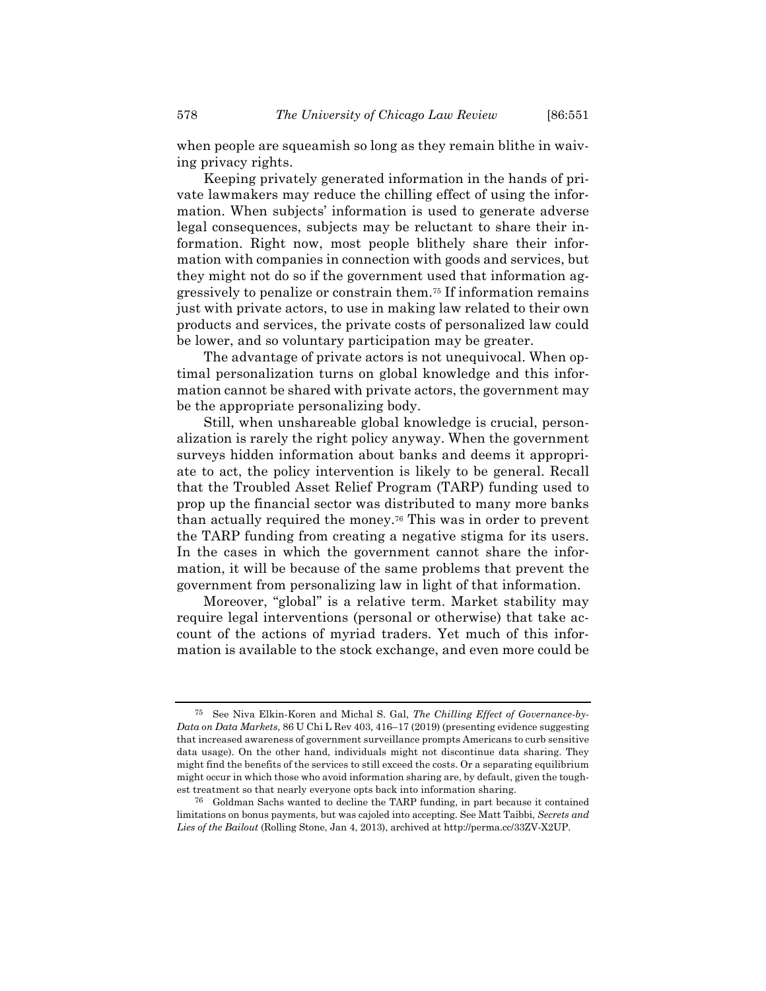when people are squeamish so long as they remain blithe in waiving privacy rights.

Keeping privately generated information in the hands of private lawmakers may reduce the chilling effect of using the information. When subjects' information is used to generate adverse legal consequences, subjects may be reluctant to share their information. Right now, most people blithely share their information with companies in connection with goods and services, but they might not do so if the government used that information aggressively to penalize or constrain them.75 If information remains just with private actors, to use in making law related to their own products and services, the private costs of personalized law could be lower, and so voluntary participation may be greater.

The advantage of private actors is not unequivocal. When optimal personalization turns on global knowledge and this information cannot be shared with private actors, the government may be the appropriate personalizing body.

Still, when unshareable global knowledge is crucial, personalization is rarely the right policy anyway. When the government surveys hidden information about banks and deems it appropriate to act, the policy intervention is likely to be general. Recall that the Troubled Asset Relief Program (TARP) funding used to prop up the financial sector was distributed to many more banks than actually required the money.76 This was in order to prevent the TARP funding from creating a negative stigma for its users. In the cases in which the government cannot share the information, it will be because of the same problems that prevent the government from personalizing law in light of that information.

Moreover, "global" is a relative term. Market stability may require legal interventions (personal or otherwise) that take account of the actions of myriad traders. Yet much of this information is available to the stock exchange, and even more could be

<sup>75</sup> See Niva Elkin-Koren and Michal S. Gal, *The Chilling Effect of Governance-by-Data on Data Markets*, 86 U Chi L Rev 403, 416–17 (2019) (presenting evidence suggesting that increased awareness of government surveillance prompts Americans to curb sensitive data usage). On the other hand, individuals might not discontinue data sharing. They might find the benefits of the services to still exceed the costs. Or a separating equilibrium might occur in which those who avoid information sharing are, by default, given the toughest treatment so that nearly everyone opts back into information sharing.

<sup>76</sup> Goldman Sachs wanted to decline the TARP funding, in part because it contained limitations on bonus payments, but was cajoled into accepting. See Matt Taibbi, *Secrets and Lies of the Bailout* (Rolling Stone, Jan 4, 2013), archived at http://perma.cc/33ZV-X2UP.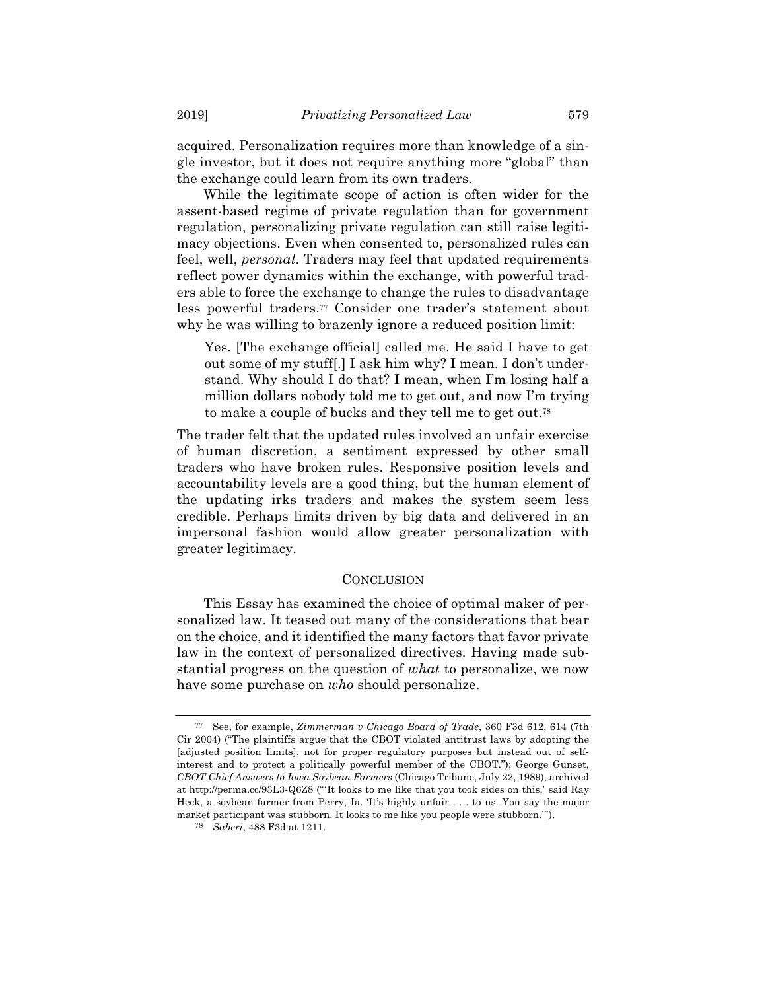acquired. Personalization requires more than knowledge of a single investor, but it does not require anything more "global" than the exchange could learn from its own traders.

While the legitimate scope of action is often wider for the assent-based regime of private regulation than for government regulation, personalizing private regulation can still raise legitimacy objections. Even when consented to, personalized rules can feel, well, *personal*. Traders may feel that updated requirements reflect power dynamics within the exchange, with powerful traders able to force the exchange to change the rules to disadvantage less powerful traders.77 Consider one trader's statement about why he was willing to brazenly ignore a reduced position limit:

Yes. [The exchange official] called me. He said I have to get out some of my stuff[.] I ask him why? I mean. I don't understand. Why should I do that? I mean, when I'm losing half a million dollars nobody told me to get out, and now I'm trying to make a couple of bucks and they tell me to get out.78

The trader felt that the updated rules involved an unfair exercise of human discretion, a sentiment expressed by other small traders who have broken rules. Responsive position levels and accountability levels are a good thing, but the human element of the updating irks traders and makes the system seem less credible. Perhaps limits driven by big data and delivered in an impersonal fashion would allow greater personalization with greater legitimacy.

## **CONCLUSION**

This Essay has examined the choice of optimal maker of personalized law. It teased out many of the considerations that bear on the choice, and it identified the many factors that favor private law in the context of personalized directives. Having made substantial progress on the question of *what* to personalize, we now have some purchase on *who* should personalize.

<sup>77</sup> See, for example, *Zimmerman v Chicago Board of Trade*, 360 F3d 612, 614 (7th Cir 2004) ("The plaintiffs argue that the CBOT violated antitrust laws by adopting the [adjusted position limits], not for proper regulatory purposes but instead out of selfinterest and to protect a politically powerful member of the CBOT."); George Gunset, *CBOT Chief Answers to Iowa Soybean Farmers* (Chicago Tribune, July 22, 1989), archived at http://perma.cc/93L3-Q6Z8 ("'It looks to me like that you took sides on this,' said Ray Heck, a soybean farmer from Perry, Ia. 'It's highly unfair . . . to us. You say the major market participant was stubborn. It looks to me like you people were stubborn.'").

<sup>78</sup> *Saberi*, 488 F3d at 1211.